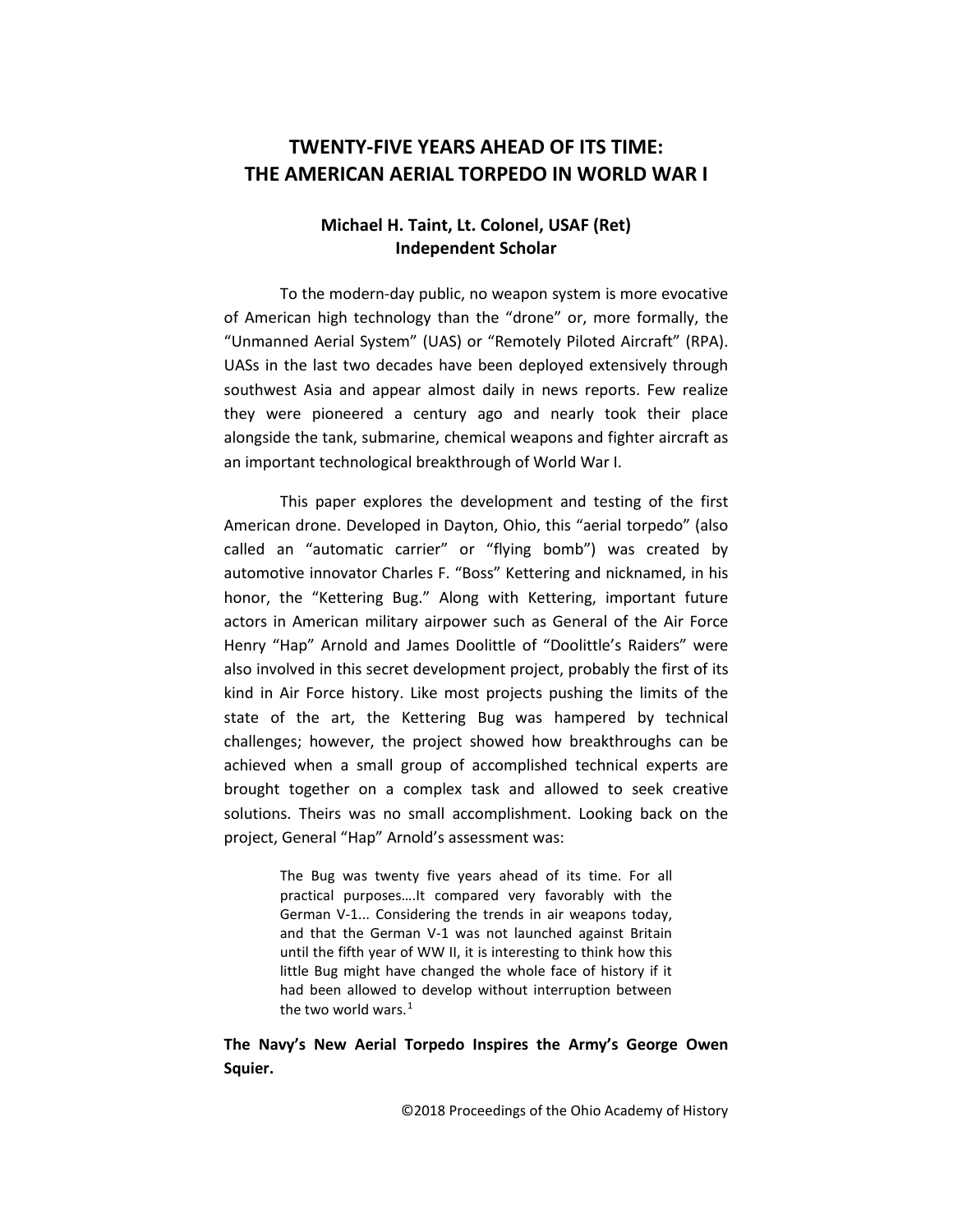# **TWENTY-FIVE YEARS AHEAD OF ITS TIME: THE AMERICAN AERIAL TORPEDO IN WORLD WAR I**

## **Michael H. Taint, Lt. Colonel, USAF (Ret) Independent Scholar**

To the modern-day public, no weapon system is more evocative of American high technology than the "drone" or, more formally, the "Unmanned Aerial System" (UAS) or "Remotely Piloted Aircraft" (RPA). UASs in the last two decades have been deployed extensively through southwest Asia and appear almost daily in news reports. Few realize they were pioneered a century ago and nearly took their place alongside the tank, submarine, chemical weapons and fighter aircraft as an important technological breakthrough of World War I.

This paper explores the development and testing of the first American drone. Developed in Dayton, Ohio, this "aerial torpedo" (also called an "automatic carrier" or "flying bomb") was created by automotive innovator Charles F. "Boss" Kettering and nicknamed, in his honor, the "Kettering Bug." Along with Kettering, important future actors in American military airpower such as General of the Air Force Henry "Hap" Arnold and James Doolittle of "Doolittle's Raiders" were also involved in this secret development project, probably the first of its kind in Air Force history. Like most projects pushing the limits of the state of the art, the Kettering Bug was hampered by technical challenges; however, the project showed how breakthroughs can be achieved when a small group of accomplished technical experts are brought together on a complex task and allowed to seek creative solutions. Theirs was no small accomplishment. Looking back on the project, General "Hap" Arnold's assessment was:

> The Bug was twenty five years ahead of its time. For all practical purposes….It compared very favorably with the German V-1... Considering the trends in air weapons today, and that the German V-1 was not launched against Britain until the fifth year of WW II, it is interesting to think how this little Bug might have changed the whole face of history if it had been allowed to develop without interruption between the two world wars.<sup>[1](#page-19-0)</sup>

## **The Navy's New Aerial Torpedo Inspires the Army's George Owen Squier.**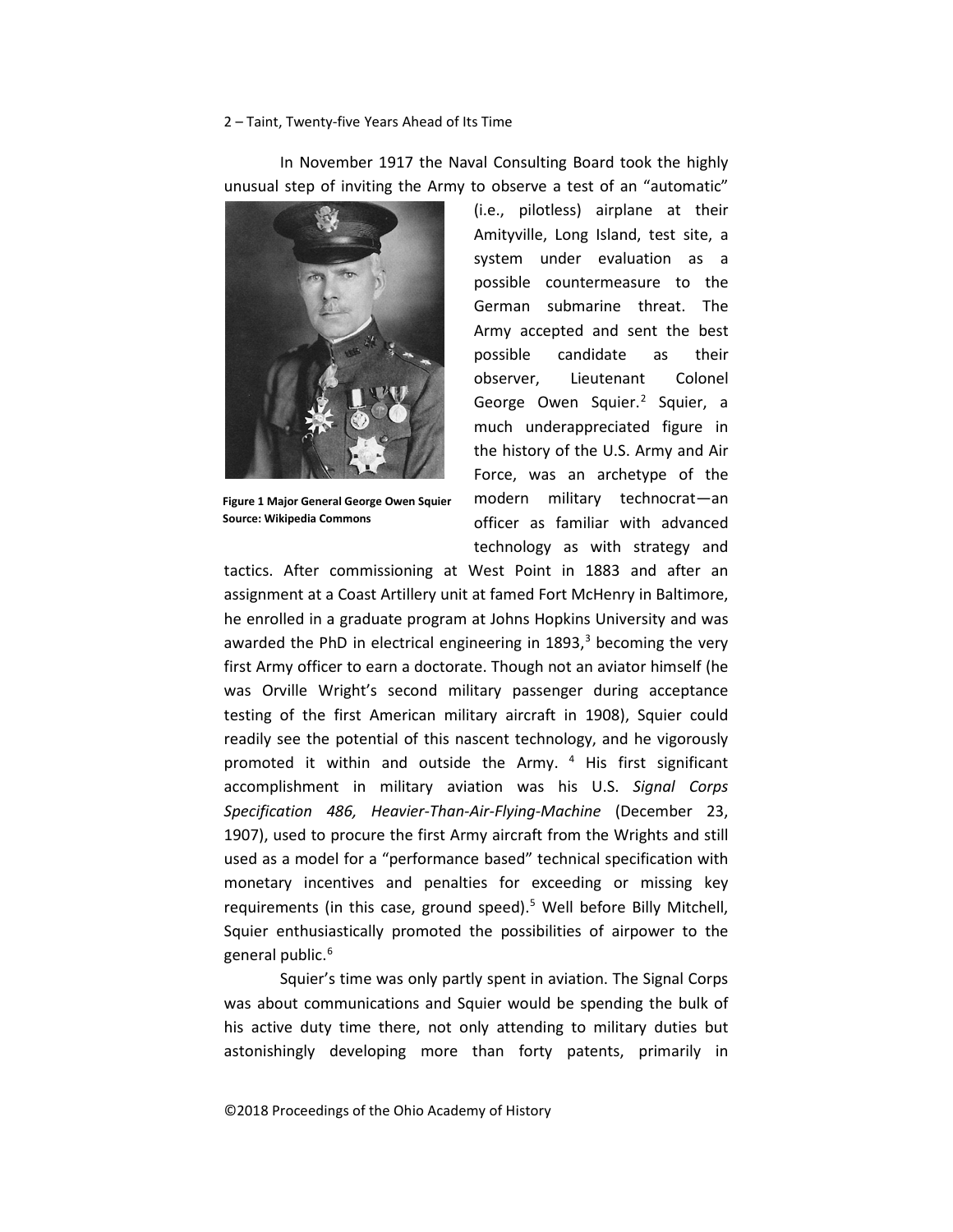In November 1917 the Naval Consulting Board took the highly unusual step of inviting the Army to observe a test of an "automatic"



**Figure 1 Major General George Owen Squier Source: Wikipedia Commons**

(i.e., pilotless) airplane at their Amityville, Long Island, test site, a system under evaluation as a possible countermeasure to the German submarine threat. The Army accepted and sent the best possible candidate as their observer, Lieutenant Colonel George Owen Squier.<sup>[2](#page-20-0)</sup> Squier, a much underappreciated figure in the history of the U.S. Army and Air Force, was an archetype of the modern military technocrat—an officer as familiar with advanced technology as with strategy and

tactics. After commissioning at West Point in 1883 and after an assignment at a Coast Artillery unit at famed Fort McHenry in Baltimore, he enrolled in a graduate program at Johns Hopkins University and was awarded the PhD in electrical engineering in  $1893$  $1893$ ,<sup>3</sup> becoming the very first Army officer to earn a doctorate. Though not an aviator himself (he was Orville Wright's second military passenger during acceptance testing of the first American military aircraft in 1908), Squier could readily see the potential of this nascent technology, and he vigorously promoted it within and outside the Army. [4](#page-20-2) His first significant accomplishment in military aviation was his U.S. *Signal Corps Specification 486, Heavier-Than-Air-Flying-Machine* (December 23, 1907), used to procure the first Army aircraft from the Wrights and still used as a model for a "performance based" technical specification with monetary incentives and penalties for exceeding or missing key requirements (in this case, ground speed).<sup>[5](#page-20-3)</sup> Well before Billy Mitchell, Squier enthusiastically promoted the possibilities of airpower to the general public.<sup>[6](#page-20-4)</sup>

Squier's time was only partly spent in aviation. The Signal Corps was about communications and Squier would be spending the bulk of his active duty time there, not only attending to military duties but astonishingly developing more than forty patents, primarily in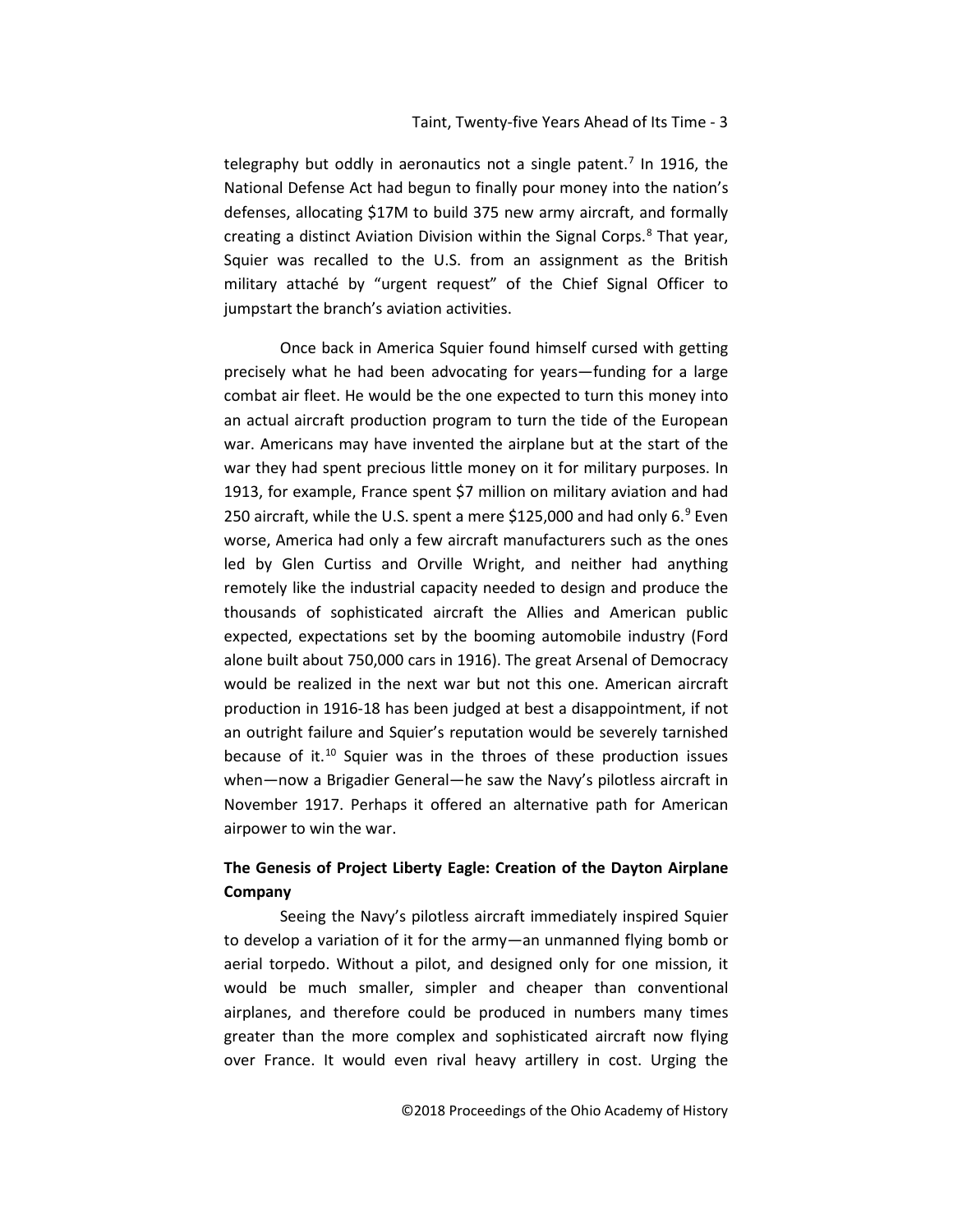telegraphy but oddly in aeronautics not a single patent.<sup>[7](#page-21-0)</sup> In 1916, the National Defense Act had begun to finally pour money into the nation's defenses, allocating \$17M to build 375 new army aircraft, and formally creating a distinct Aviation Division within the Signal Corps.<sup>[8](#page-21-1)</sup> That year, Squier was recalled to the U.S. from an assignment as the British military attaché by "urgent request" of the Chief Signal Officer to jumpstart the branch's aviation activities.

Once back in America Squier found himself cursed with getting precisely what he had been advocating for years—funding for a large combat air fleet. He would be the one expected to turn this money into an actual aircraft production program to turn the tide of the European war. Americans may have invented the airplane but at the start of the war they had spent precious little money on it for military purposes. In 1913, for example, France spent \$7 million on military aviation and had 250 aircraft, while the U.S. spent a mere \$125,000 and had only  $6.^9$  $6.^9$  Even worse, America had only a few aircraft manufacturers such as the ones led by Glen Curtiss and Orville Wright, and neither had anything remotely like the industrial capacity needed to design and produce the thousands of sophisticated aircraft the Allies and American public expected, expectations set by the booming automobile industry (Ford alone built about 750,000 cars in 1916). The great Arsenal of Democracy would be realized in the next war but not this one. American aircraft production in 1916-18 has been judged at best a disappointment, if not an outright failure and Squier's reputation would be severely tarnished because of it.[10](#page-21-3) Squier was in the throes of these production issues when—now a Brigadier General—he saw the Navy's pilotless aircraft in November 1917. Perhaps it offered an alternative path for American airpower to win the war.

## **The Genesis of Project Liberty Eagle: Creation of the Dayton Airplane Company**

Seeing the Navy's pilotless aircraft immediately inspired Squier to develop a variation of it for the army—an unmanned flying bomb or aerial torpedo. Without a pilot, and designed only for one mission, it would be much smaller, simpler and cheaper than conventional airplanes, and therefore could be produced in numbers many times greater than the more complex and sophisticated aircraft now flying over France. It would even rival heavy artillery in cost. Urging the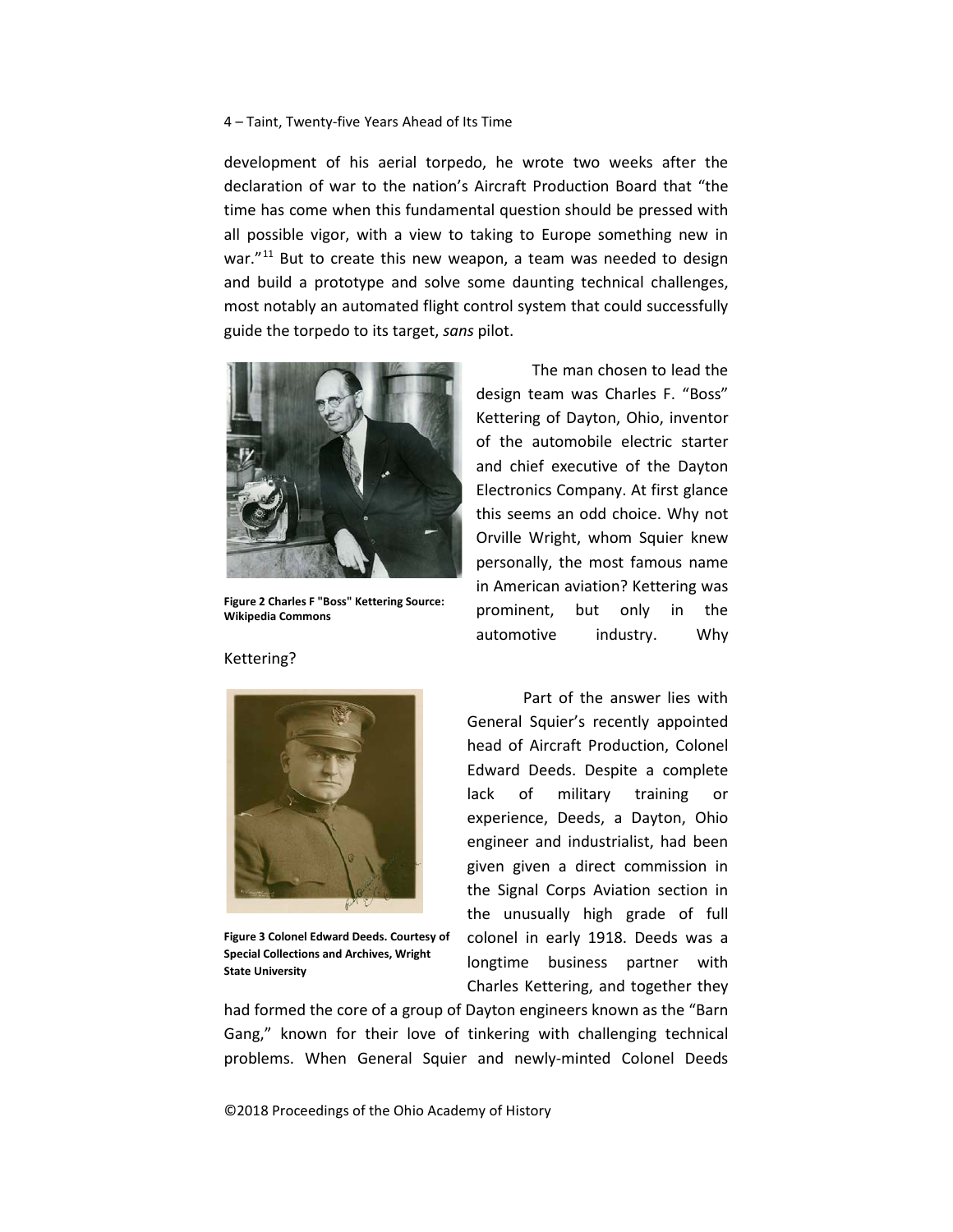development of his aerial torpedo, he wrote two weeks after the declaration of war to the nation's Aircraft Production Board that "the time has come when this fundamental question should be pressed with all possible vigor, with a view to taking to Europe something new in war."<sup>[11](#page-22-0)</sup> But to create this new weapon, a team was needed to design and build a prototype and solve some daunting technical challenges, most notably an automated flight control system that could successfully guide the torpedo to its target, *sans* pilot.



**Figure 2 Charles F "Boss" Kettering Source: Wikipedia Commons**

The man chosen to lead the design team was Charles F. "Boss" Kettering of Dayton, Ohio, inventor of the automobile electric starter and chief executive of the Dayton Electronics Company. At first glance this seems an odd choice. Why not Orville Wright, whom Squier knew personally, the most famous name in American aviation? Kettering was prominent, but only in the automotive industry. Why



**Figure 3 Colonel Edward Deeds. Courtesy of Special Collections and Archives, Wright State University**

Part of the answer lies with General Squier's recently appointed head of Aircraft Production, Colonel Edward Deeds. Despite a complete lack of military training or experience, Deeds, a Dayton, Ohio engineer and industrialist, had been given given a direct commission in the Signal Corps Aviation section in the unusually high grade of full colonel in early 1918. Deeds was a longtime business partner with Charles Kettering, and together they

had formed the core of a group of Dayton engineers known as the "Barn" Gang," known for their love of tinkering with challenging technical problems. When General Squier and newly-minted Colonel Deeds

©2018 Proceedings of the Ohio Academy of History

### Kettering?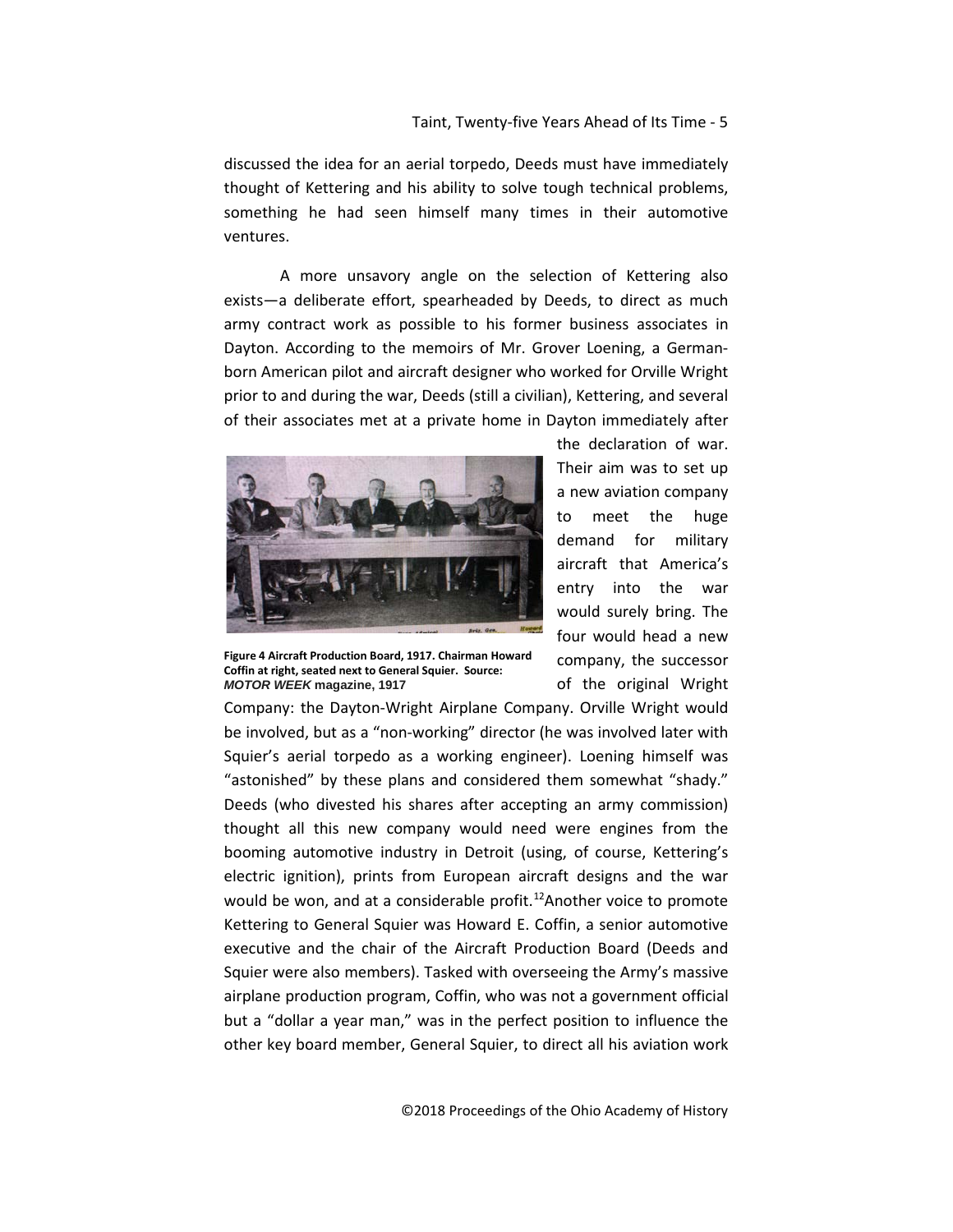discussed the idea for an aerial torpedo, Deeds must have immediately thought of Kettering and his ability to solve tough technical problems, something he had seen himself many times in their automotive ventures.

A more unsavory angle on the selection of Kettering also exists—a deliberate effort, spearheaded by Deeds, to direct as much army contract work as possible to his former business associates in Dayton. According to the memoirs of Mr. Grover Loening, a Germanborn American pilot and aircraft designer who worked for Orville Wright prior to and during the war, Deeds (still a civilian), Kettering, and several of their associates met at a private home in Dayton immediately after



**Figure 4 Aircraft Production Board, 1917. Chairman Howard Coffin at right, seated next to General Squier. Source:**  *MOTOR WEEK* **magazine, 1917**

the declaration of war. Their aim was to set up a new aviation company to meet the huge demand for military aircraft that America's entry into the war would surely bring. The four would head a new company, the successor of the original Wright

Company: the Dayton-Wright Airplane Company. Orville Wright would be involved, but as a "non-working" director (he was involved later with Squier's aerial torpedo as a working engineer). Loening himself was "astonished" by these plans and considered them somewhat "shady." Deeds (who divested his shares after accepting an army commission) thought all this new company would need were engines from the booming automotive industry in Detroit (using, of course, Kettering's electric ignition), prints from European aircraft designs and the war would be won, and at a considerable profit.<sup>12</sup>Another voice to promote Kettering to General Squier was Howard E. Coffin, a senior automotive executive and the chair of the Aircraft Production Board (Deeds and Squier were also members). Tasked with overseeing the Army's massive airplane production program, Coffin, who was not a government official but a "dollar a year man," was in the perfect position to influence the other key board member, General Squier, to direct all his aviation work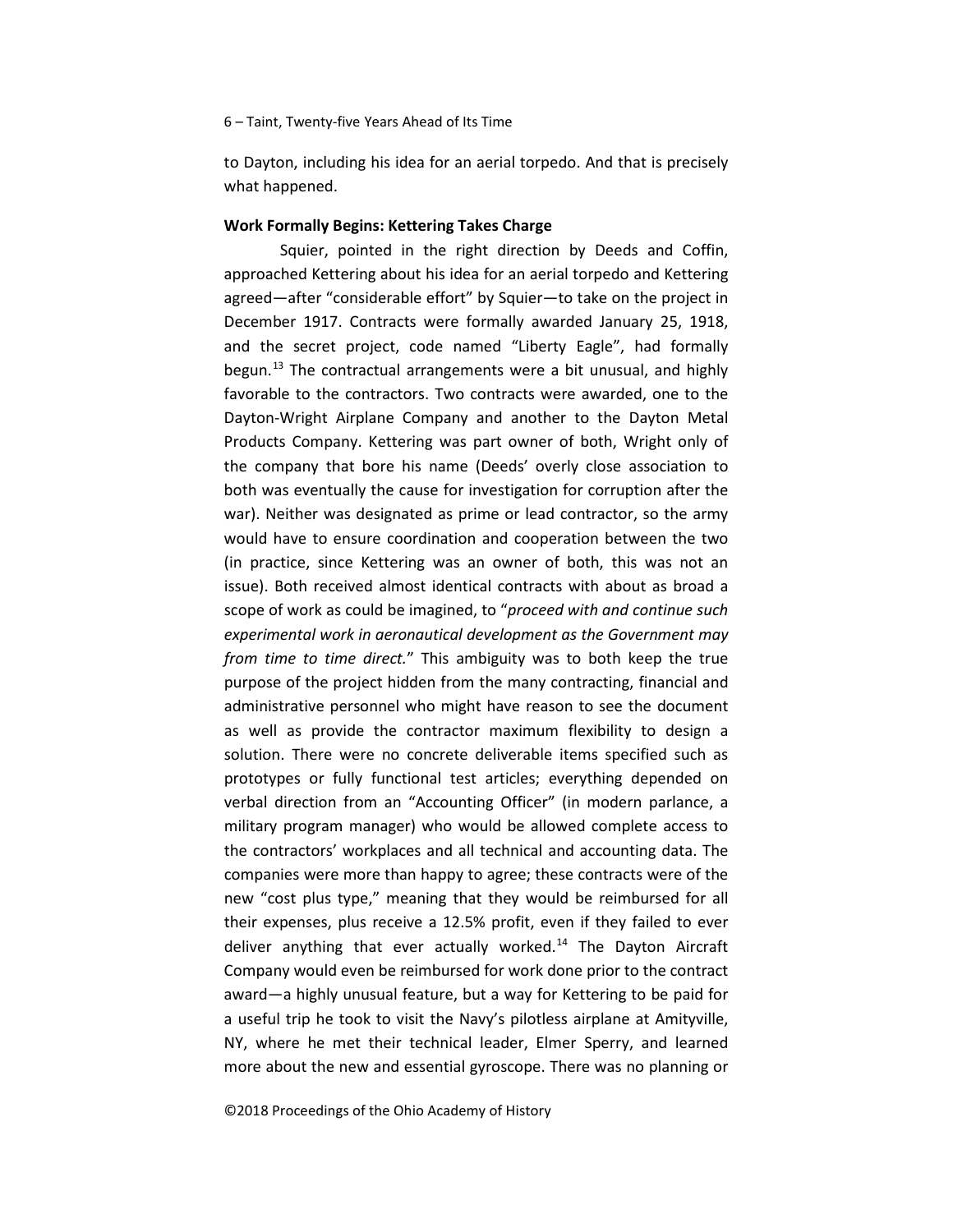to Dayton, including his idea for an aerial torpedo. And that is precisely what happened.

#### **Work Formally Begins: Kettering Takes Charge**

Squier, pointed in the right direction by Deeds and Coffin, approached Kettering about his idea for an aerial torpedo and Kettering agreed—after "considerable effort" by Squier—to take on the project in December 1917. Contracts were formally awarded January 25, 1918, and the secret project, code named "Liberty Eagle", had formally begun.<sup>[13](#page-23-0)</sup> The contractual arrangements were a bit unusual, and highly favorable to the contractors. Two contracts were awarded, one to the Dayton-Wright Airplane Company and another to the Dayton Metal Products Company. Kettering was part owner of both, Wright only of the company that bore his name (Deeds' overly close association to both was eventually the cause for investigation for corruption after the war). Neither was designated as prime or lead contractor, so the army would have to ensure coordination and cooperation between the two (in practice, since Kettering was an owner of both, this was not an issue). Both received almost identical contracts with about as broad a scope of work as could be imagined, to "*proceed with and continue such experimental work in aeronautical development as the Government may from time to time direct.*" This ambiguity was to both keep the true purpose of the project hidden from the many contracting, financial and administrative personnel who might have reason to see the document as well as provide the contractor maximum flexibility to design a solution. There were no concrete deliverable items specified such as prototypes or fully functional test articles; everything depended on verbal direction from an "Accounting Officer" (in modern parlance, a military program manager) who would be allowed complete access to the contractors' workplaces and all technical and accounting data. The companies were more than happy to agree; these contracts were of the new "cost plus type," meaning that they would be reimbursed for all their expenses, plus receive a 12.5% profit, even if they failed to ever deliver anything that ever actually worked. $14$  The Dayton Aircraft Company would even be reimbursed for work done prior to the contract award—a highly unusual feature, but a way for Kettering to be paid for a useful trip he took to visit the Navy's pilotless airplane at Amityville, NY, where he met their technical leader, Elmer Sperry, and learned more about the new and essential gyroscope. There was no planning or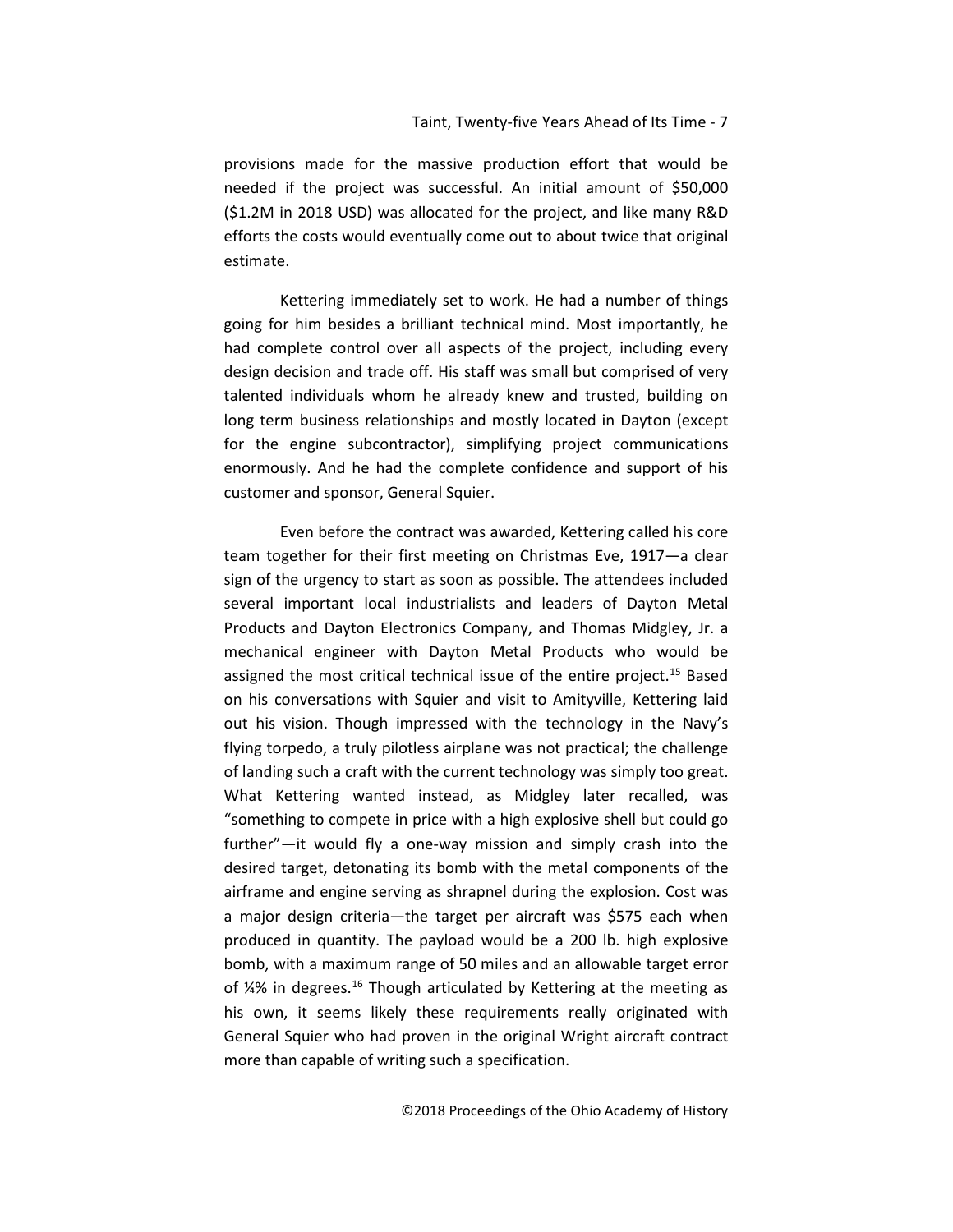provisions made for the massive production effort that would be needed if the project was successful. An initial amount of \$50,000 (\$1.2M in 2018 USD) was allocated for the project, and like many R&D efforts the costs would eventually come out to about twice that original estimate.

Kettering immediately set to work. He had a number of things going for him besides a brilliant technical mind. Most importantly, he had complete control over all aspects of the project, including every design decision and trade off. His staff was small but comprised of very talented individuals whom he already knew and trusted, building on long term business relationships and mostly located in Dayton (except for the engine subcontractor), simplifying project communications enormously. And he had the complete confidence and support of his customer and sponsor, General Squier.

Even before the contract was awarded, Kettering called his core team together for their first meeting on Christmas Eve, 1917—a clear sign of the urgency to start as soon as possible. The attendees included several important local industrialists and leaders of Dayton Metal Products and Dayton Electronics Company, and Thomas Midgley, Jr. a mechanical engineer with Dayton Metal Products who would be assigned the most critical technical issue of the entire project.<sup>[15](#page-24-0)</sup> Based on his conversations with Squier and visit to Amityville, Kettering laid out his vision. Though impressed with the technology in the Navy's flying torpedo, a truly pilotless airplane was not practical; the challenge of landing such a craft with the current technology was simply too great. What Kettering wanted instead, as Midgley later recalled, was "something to compete in price with a high explosive shell but could go further"—it would fly a one-way mission and simply crash into the desired target, detonating its bomb with the metal components of the airframe and engine serving as shrapnel during the explosion. Cost was a major design criteria—the target per aircraft was \$575 each when produced in quantity. The payload would be a 200 lb. high explosive bomb, with a maximum range of 50 miles and an allowable target error of  $4\%$  in degrees.<sup>[16](#page-24-1)</sup> Though articulated by Kettering at the meeting as his own, it seems likely these requirements really originated with General Squier who had proven in the original Wright aircraft contract more than capable of writing such a specification.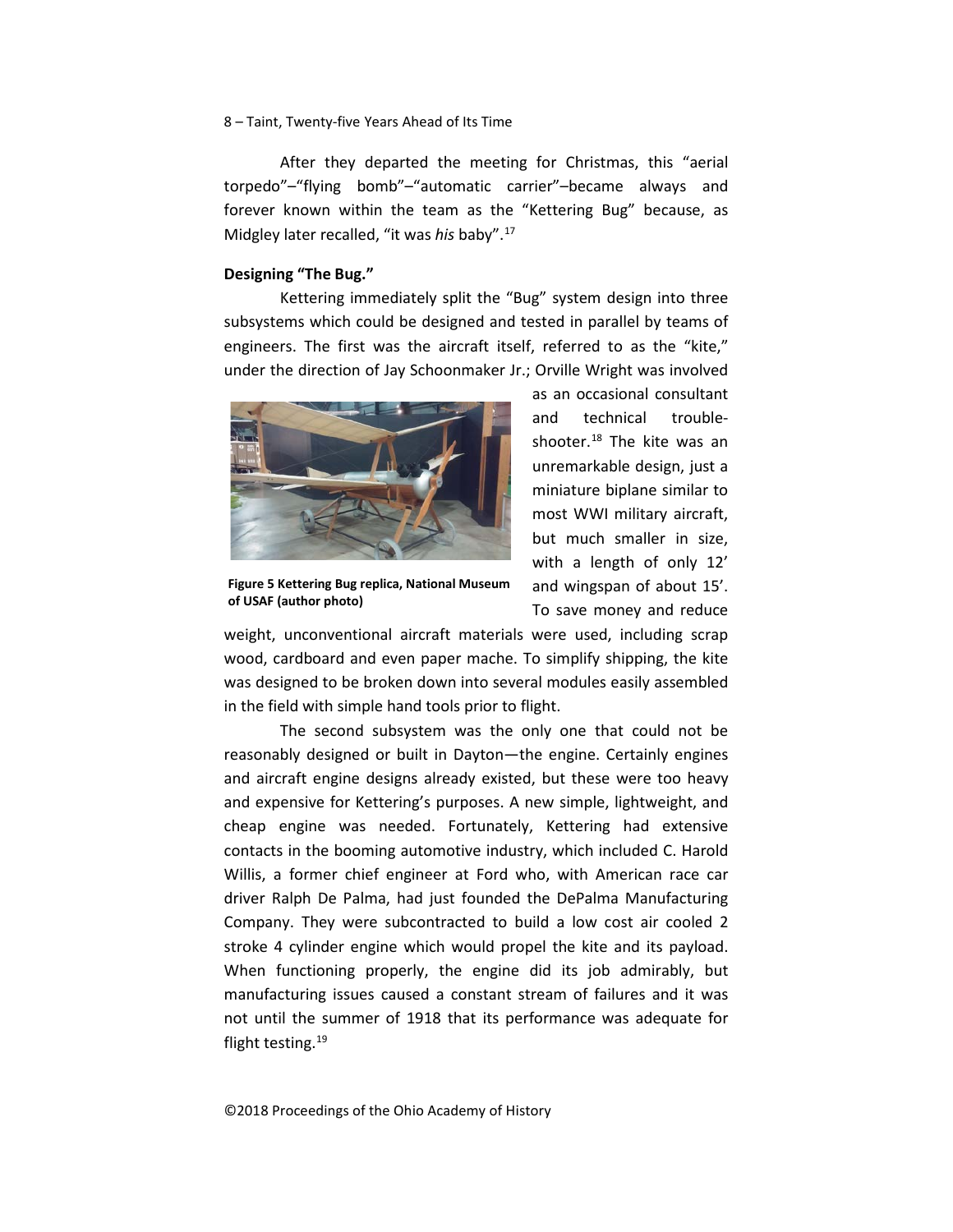After they departed the meeting for Christmas, this "aerial torpedo"–"flying bomb"–"automatic carrier"–became always and forever known within the team as the "Kettering Bug" because, as Midgley later recalled, "it was *his* baby".[17](#page-24-2)

## **Designing "The Bug."**

Kettering immediately split the "Bug" system design into three subsystems which could be designed and tested in parallel by teams of engineers. The first was the aircraft itself, referred to as the "kite," under the direction of Jay Schoonmaker Jr.; Orville Wright was involved



**Figure 5 Kettering Bug replica, National Museum of USAF (author photo)**

as an occasional consultant and technical troubleshooter.[18](#page-24-3) The kite was an unremarkable design, just a miniature biplane similar to most WWI military aircraft, but much smaller in size, with a length of only 12' and wingspan of about 15'. To save money and reduce

weight, unconventional aircraft materials were used, including scrap wood, cardboard and even paper mache. To simplify shipping, the kite was designed to be broken down into several modules easily assembled in the field with simple hand tools prior to flight.

The second subsystem was the only one that could not be reasonably designed or built in Dayton—the engine. Certainly engines and aircraft engine designs already existed, but these were too heavy and expensive for Kettering's purposes. A new simple, lightweight, and cheap engine was needed. Fortunately, Kettering had extensive contacts in the booming automotive industry, which included C. Harold Willis, a former chief engineer at Ford who, with American race car driver Ralph De Palma, had just founded the DePalma Manufacturing Company. They were subcontracted to build a low cost air cooled 2 stroke 4 cylinder engine which would propel the kite and its payload. When functioning properly, the engine did its job admirably, but manufacturing issues caused a constant stream of failures and it was not until the summer of 1918 that its performance was adequate for flight testing.<sup>19</sup>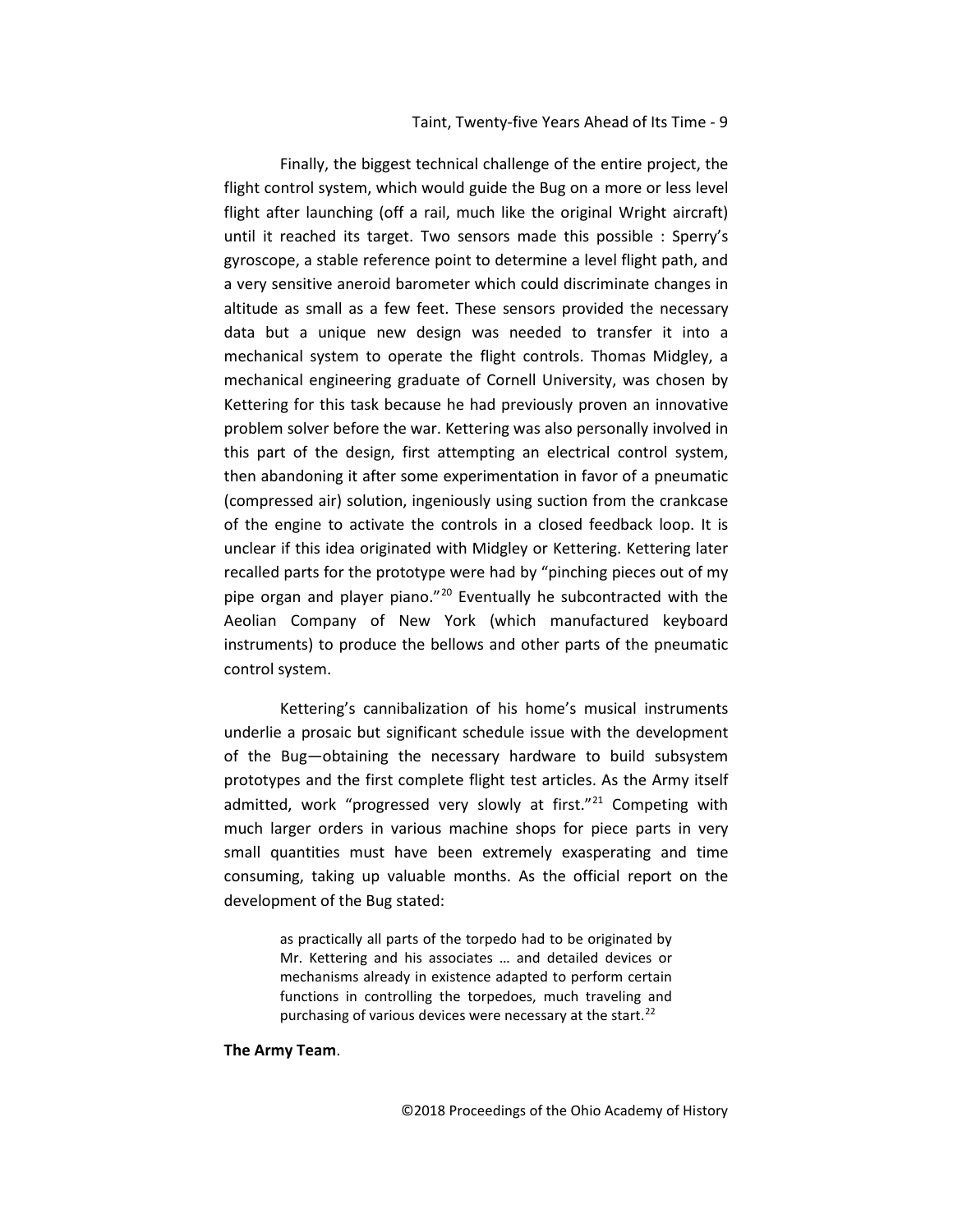Finally, the biggest technical challenge of the entire project, the flight control system, which would guide the Bug on a more or less level flight after launching (off a rail, much like the original Wright aircraft) until it reached its target. Two sensors made this possible : Sperry's gyroscope, a stable reference point to determine a level flight path, and a very sensitive aneroid barometer which could discriminate changes in altitude as small as a few feet. These sensors provided the necessary data but a unique new design was needed to transfer it into a mechanical system to operate the flight controls. Thomas Midgley, a mechanical engineering graduate of Cornell University, was chosen by Kettering for this task because he had previously proven an innovative problem solver before the war. Kettering was also personally involved in this part of the design, first attempting an electrical control system, then abandoning it after some experimentation in favor of a pneumatic (compressed air) solution, ingeniously using suction from the crankcase of the engine to activate the controls in a closed feedback loop. It is unclear if this idea originated with Midgley or Kettering. Kettering later recalled parts for the prototype were had by "pinching pieces out of my pipe organ and player piano."[20](#page-24-5) Eventually he subcontracted with the Aeolian Company of New York (which manufactured keyboard instruments) to produce the bellows and other parts of the pneumatic control system.

Kettering's cannibalization of his home's musical instruments underlie a prosaic but significant schedule issue with the development of the Bug—obtaining the necessary hardware to build subsystem prototypes and the first complete flight test articles. As the Army itself admitted, work "progressed very slowly at first."<sup>[21](#page-24-6)</sup> Competing with much larger orders in various machine shops for piece parts in very small quantities must have been extremely exasperating and time consuming, taking up valuable months. As the official report on the development of the Bug stated:

> as practically all parts of the torpedo had to be originated by Mr. Kettering and his associates … and detailed devices or mechanisms already in existence adapted to perform certain functions in controlling the torpedoes, much traveling and purchasing of various devices were necessary at the start.<sup>[22](#page-24-7)</sup>

#### **The Army Team**.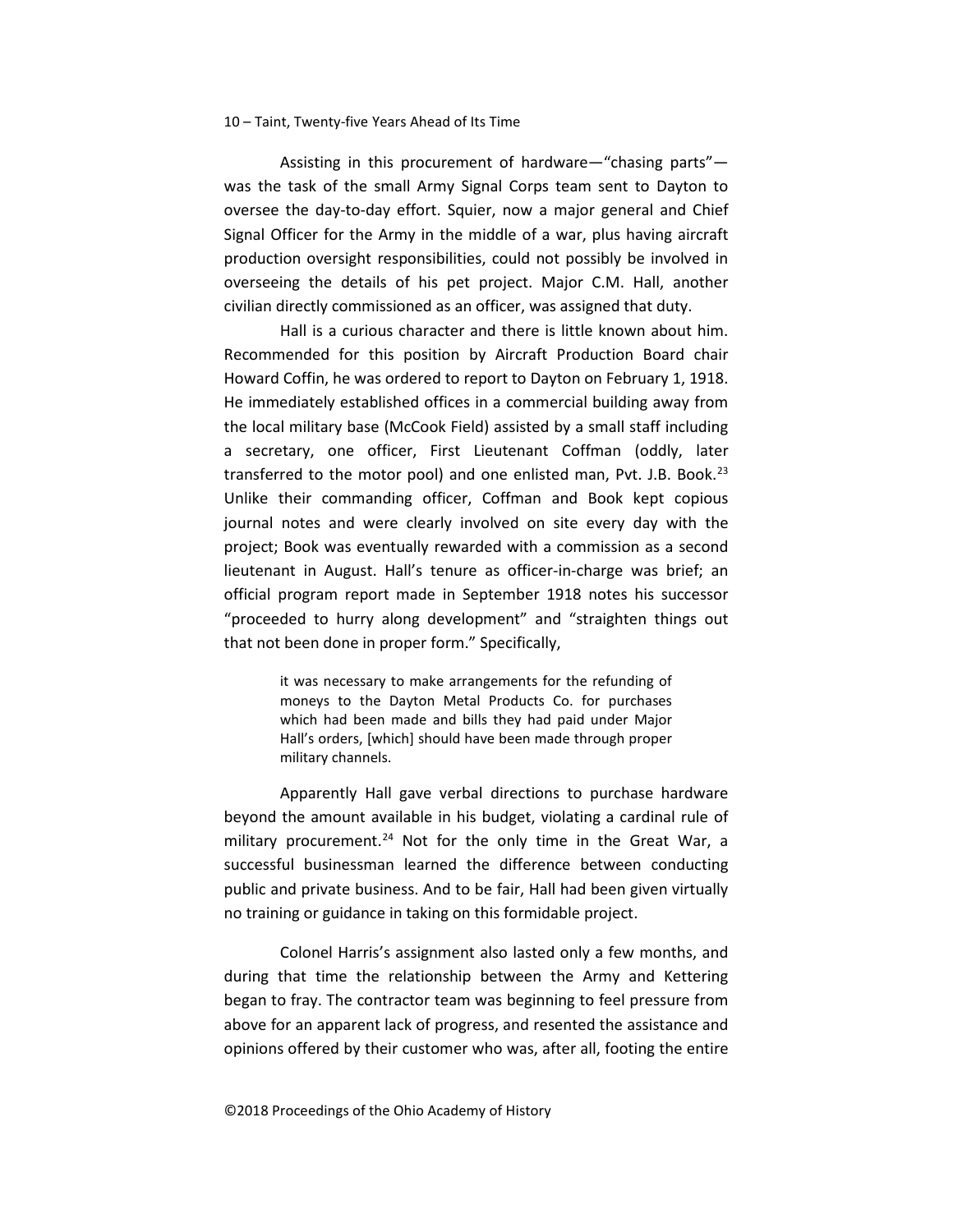Assisting in this procurement of hardware—"chasing parts" was the task of the small Army Signal Corps team sent to Dayton to oversee the day-to-day effort. Squier, now a major general and Chief Signal Officer for the Army in the middle of a war, plus having aircraft production oversight responsibilities, could not possibly be involved in overseeing the details of his pet project. Major C.M. Hall, another civilian directly commissioned as an officer, was assigned that duty.

Hall is a curious character and there is little known about him. Recommended for this position by Aircraft Production Board chair Howard Coffin, he was ordered to report to Dayton on February 1, 1918. He immediately established offices in a commercial building away from the local military base (McCook Field) assisted by a small staff including a secretary, one officer, First Lieutenant Coffman (oddly, later transferred to the motor pool) and one enlisted man, Pvt. J.B. Book. $^{23}$  $^{23}$  $^{23}$ Unlike their commanding officer, Coffman and Book kept copious journal notes and were clearly involved on site every day with the project; Book was eventually rewarded with a commission as a second lieutenant in August. Hall's tenure as officer-in-charge was brief; an official program report made in September 1918 notes his successor "proceeded to hurry along development" and "straighten things out that not been done in proper form." Specifically,

> it was necessary to make arrangements for the refunding of moneys to the Dayton Metal Products Co. for purchases which had been made and bills they had paid under Major Hall's orders, [which] should have been made through proper military channels.

Apparently Hall gave verbal directions to purchase hardware beyond the amount available in his budget, violating a cardinal rule of military procurement.<sup>[24](#page-24-9)</sup> Not for the only time in the Great War, a successful businessman learned the difference between conducting public and private business. And to be fair, Hall had been given virtually no training or guidance in taking on this formidable project.

Colonel Harris's assignment also lasted only a few months, and during that time the relationship between the Army and Kettering began to fray. The contractor team was beginning to feel pressure from above for an apparent lack of progress, and resented the assistance and opinions offered by their customer who was, after all, footing the entire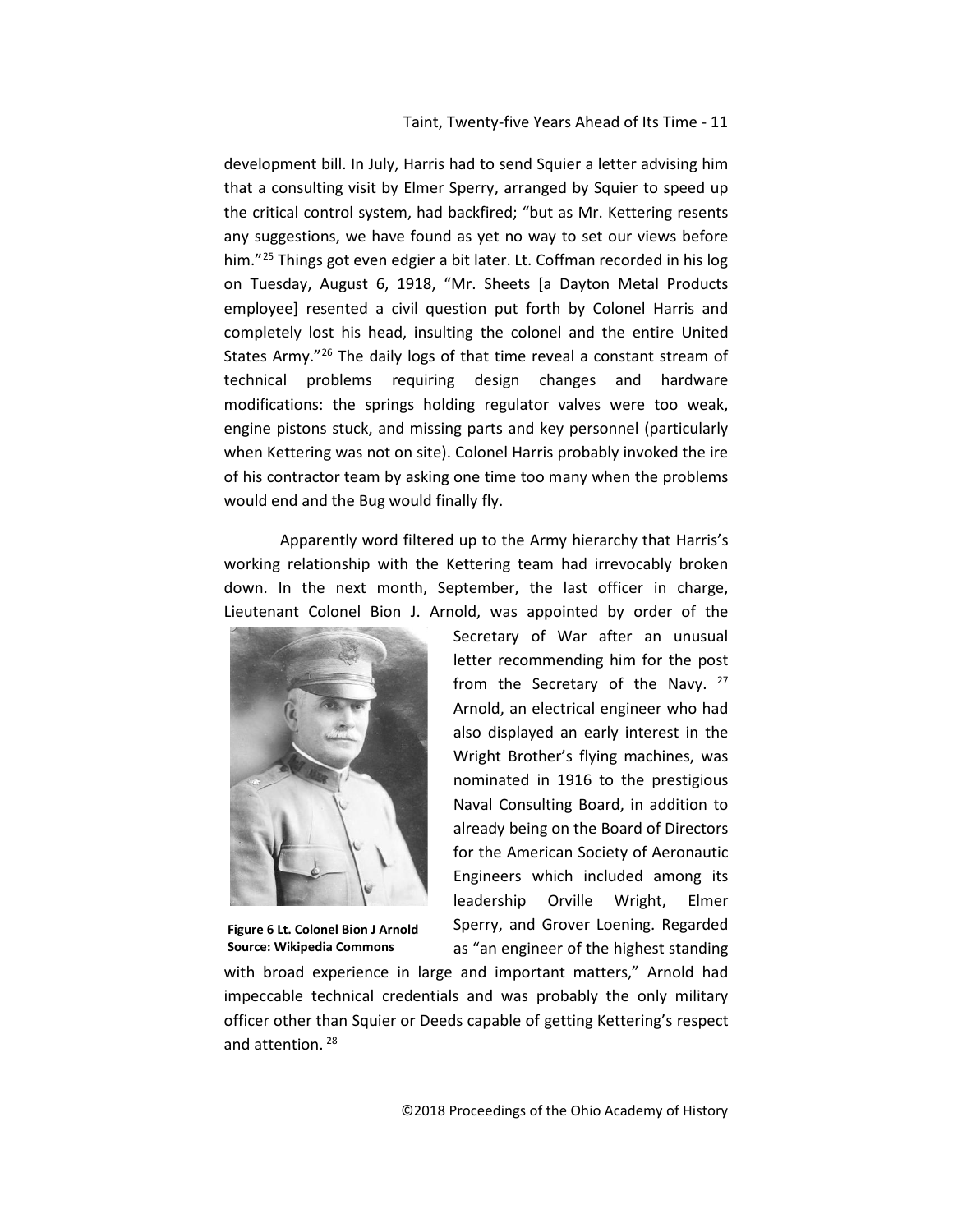development bill. In July, Harris had to send Squier a letter advising him that a consulting visit by Elmer Sperry, arranged by Squier to speed up the critical control system, had backfired; "but as Mr. Kettering resents any suggestions, we have found as yet no way to set our views before him."<sup>[25](#page-24-10)</sup> Things got even edgier a bit later. Lt. Coffman recorded in his log on Tuesday, August 6, 1918, "Mr. Sheets [a Dayton Metal Products employee] resented a civil question put forth by Colonel Harris and completely lost his head, insulting the colonel and the entire United States Army."[26](#page-24-11) The daily logs of that time reveal a constant stream of technical problems requiring design changes and hardware modifications: the springs holding regulator valves were too weak, engine pistons stuck, and missing parts and key personnel (particularly when Kettering was not on site). Colonel Harris probably invoked the ire of his contractor team by asking one time too many when the problems would end and the Bug would finally fly.

Apparently word filtered up to the Army hierarchy that Harris's working relationship with the Kettering team had irrevocably broken down. In the next month, September, the last officer in charge, Lieutenant Colonel Bion J. Arnold, was appointed by order of the



**Figure 6 Lt. Colonel Bion J Arnold Source: Wikipedia Commons**

Secretary of War after an unusual letter recommending him for the post from the Secretary of the Navy.  $27$ Arnold, an electrical engineer who had also displayed an early interest in the Wright Brother's flying machines, was nominated in 1916 to the prestigious Naval Consulting Board, in addition to already being on the Board of Directors for the American Society of Aeronautic Engineers which included among its leadership Orville Wright, Elmer Sperry, and Grover Loening. Regarded as "an engineer of the highest standing

with broad experience in large and important matters," Arnold had impeccable technical credentials and was probably the only military officer other than Squier or Deeds capable of getting Kettering's respect and attention.<sup>[28](#page-24-13)</sup>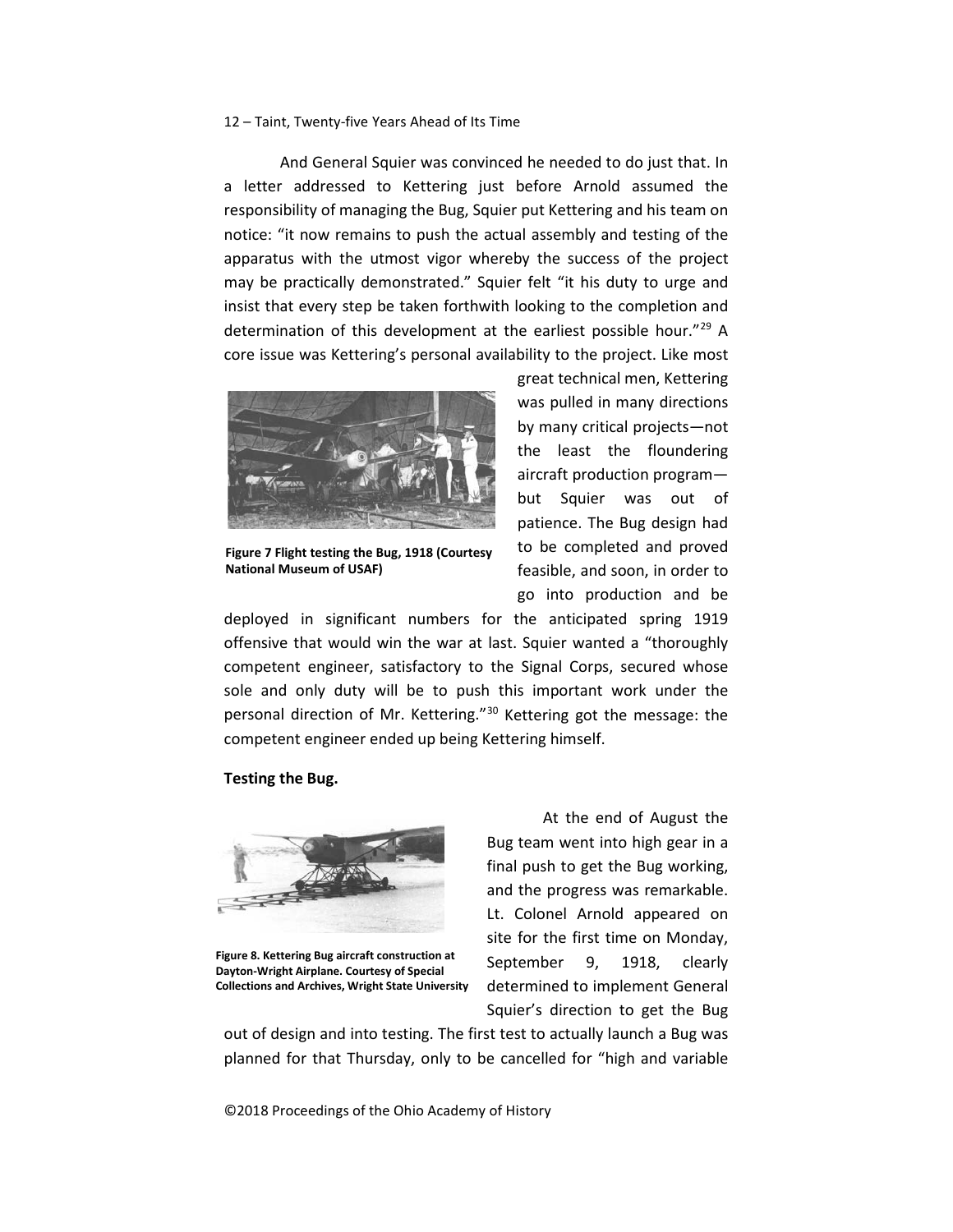And General Squier was convinced he needed to do just that. In a letter addressed to Kettering just before Arnold assumed the responsibility of managing the Bug, Squier put Kettering and his team on notice: "it now remains to push the actual assembly and testing of the apparatus with the utmost vigor whereby the success of the project may be practically demonstrated." Squier felt "it his duty to urge and insist that every step be taken forthwith looking to the completion and determination of this development at the earliest possible hour."[29](#page-24-14) A core issue was Kettering's personal availability to the project. Like most



**Figure 7 Flight testing the Bug, 1918 (Courtesy National Museum of USAF)**

great technical men, Kettering was pulled in many directions by many critical projects—not the least the floundering aircraft production program but Squier was out of patience. The Bug design had to be completed and proved feasible, and soon, in order to go into production and be

deployed in significant numbers for the anticipated spring 1919 offensive that would win the war at last. Squier wanted a "thoroughly competent engineer, satisfactory to the Signal Corps, secured whose sole and only duty will be to push this important work under the personal direction of Mr. Kettering."[30](#page-24-15) Kettering got the message: the competent engineer ended up being Kettering himself.

## **Testing the Bug.**



**Figure 8. Kettering Bug aircraft construction at Dayton-Wright Airplane. Courtesy of Special Collections and Archives, Wright State University**

At the end of August the Bug team went into high gear in a final push to get the Bug working, and the progress was remarkable. Lt. Colonel Arnold appeared on site for the first time on Monday, September 9, 1918, clearly determined to implement General Squier's direction to get the Bug

out of design and into testing. The first test to actually launch a Bug was planned for that Thursday, only to be cancelled for "high and variable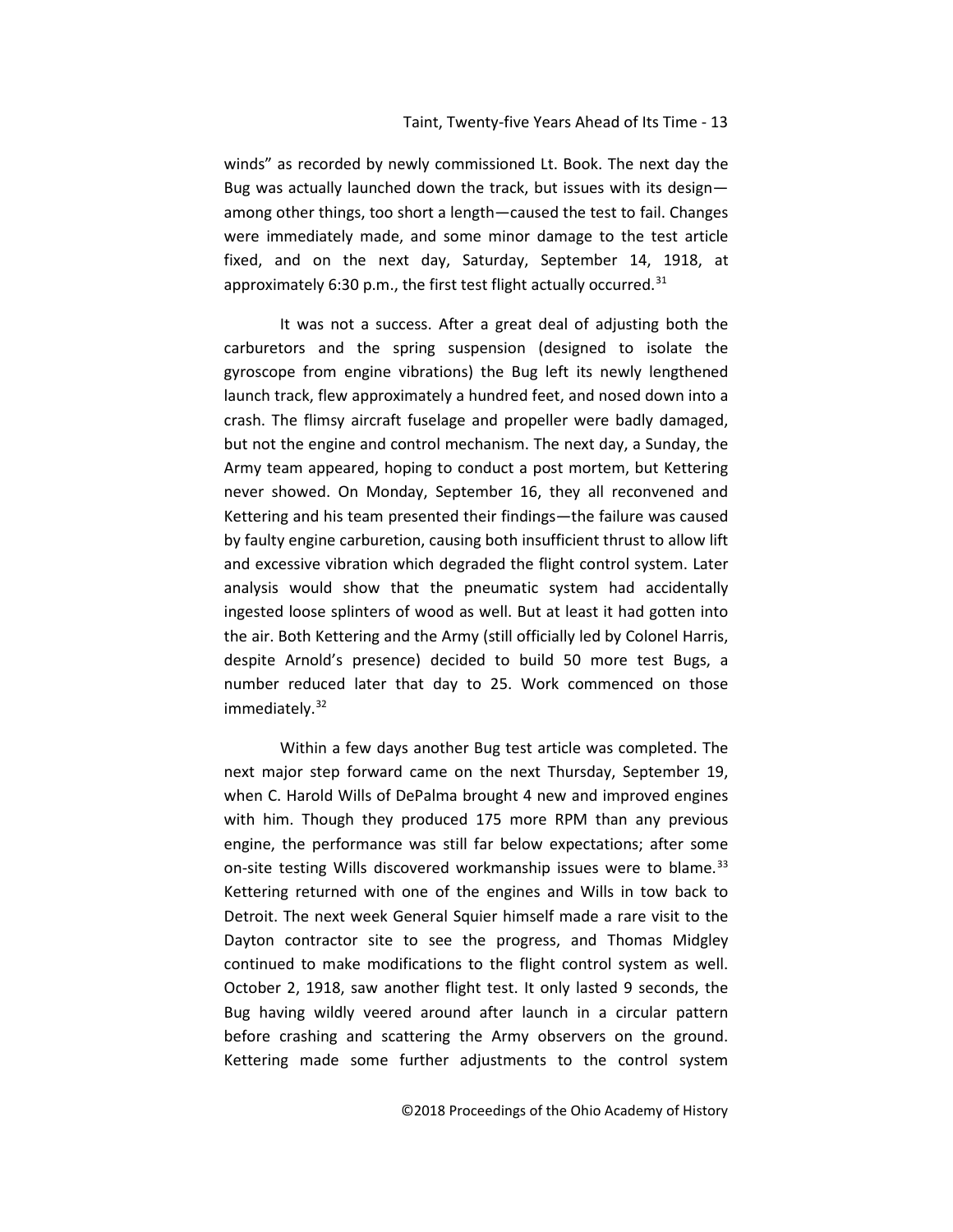winds" as recorded by newly commissioned Lt. Book. The next day the Bug was actually launched down the track, but issues with its design among other things, too short a length—caused the test to fail. Changes were immediately made, and some minor damage to the test article fixed, and on the next day, Saturday, September 14, 1918, at approximately 6:30 p.m., the first test flight actually occurred. $31$ 

It was not a success. After a great deal of adjusting both the carburetors and the spring suspension (designed to isolate the gyroscope from engine vibrations) the Bug left its newly lengthened launch track, flew approximately a hundred feet, and nosed down into a crash. The flimsy aircraft fuselage and propeller were badly damaged, but not the engine and control mechanism. The next day, a Sunday, the Army team appeared, hoping to conduct a post mortem, but Kettering never showed. On Monday, September 16, they all reconvened and Kettering and his team presented their findings—the failure was caused by faulty engine carburetion, causing both insufficient thrust to allow lift and excessive vibration which degraded the flight control system. Later analysis would show that the pneumatic system had accidentally ingested loose splinters of wood as well. But at least it had gotten into the air. Both Kettering and the Army (still officially led by Colonel Harris, despite Arnold's presence) decided to build 50 more test Bugs, a number reduced later that day to 25. Work commenced on those immediately.<sup>[32](#page-24-17)</sup>

Within a few days another Bug test article was completed. The next major step forward came on the next Thursday, September 19, when C. Harold Wills of DePalma brought 4 new and improved engines with him. Though they produced 175 more RPM than any previous engine, the performance was still far below expectations; after some on-site testing Wills discovered workmanship issues were to blame.<sup>[33](#page-24-18)</sup> Kettering returned with one of the engines and Wills in tow back to Detroit. The next week General Squier himself made a rare visit to the Dayton contractor site to see the progress, and Thomas Midgley continued to make modifications to the flight control system as well. October 2, 1918, saw another flight test. It only lasted 9 seconds, the Bug having wildly veered around after launch in a circular pattern before crashing and scattering the Army observers on the ground. Kettering made some further adjustments to the control system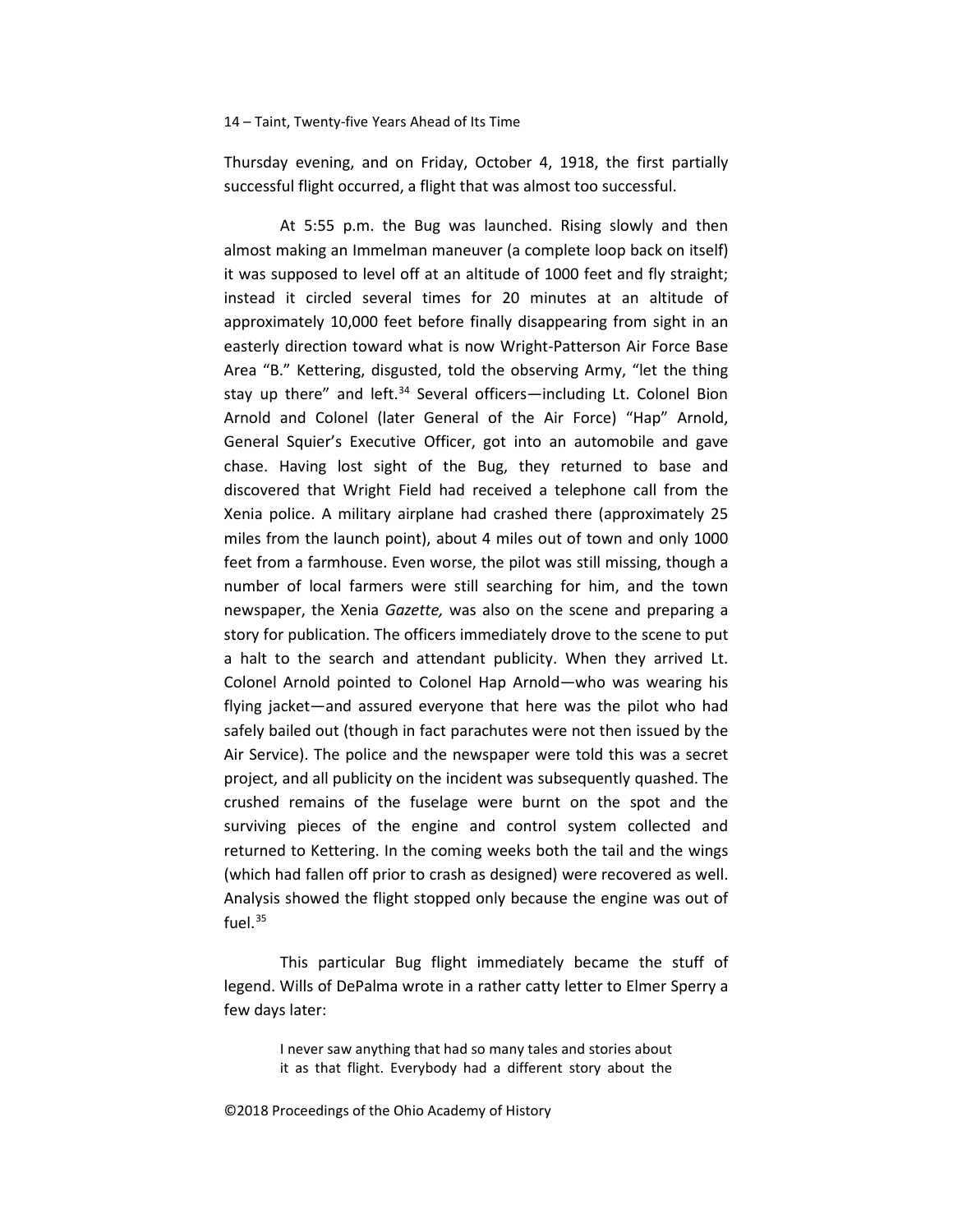Thursday evening, and on Friday, October 4, 1918, the first partially successful flight occurred, a flight that was almost too successful.

At 5:55 p.m. the Bug was launched. Rising slowly and then almost making an Immelman maneuver (a complete loop back on itself) it was supposed to level off at an altitude of 1000 feet and fly straight; instead it circled several times for 20 minutes at an altitude of approximately 10,000 feet before finally disappearing from sight in an easterly direction toward what is now Wright-Patterson Air Force Base Area "B." Kettering, disgusted, told the observing Army, "let the thing stay up there" and left.<sup>[34](#page-24-19)</sup> Several officers—including Lt. Colonel Bion Arnold and Colonel (later General of the Air Force) "Hap" Arnold, General Squier's Executive Officer, got into an automobile and gave chase. Having lost sight of the Bug, they returned to base and discovered that Wright Field had received a telephone call from the Xenia police. A military airplane had crashed there (approximately 25 miles from the launch point), about 4 miles out of town and only 1000 feet from a farmhouse. Even worse, the pilot was still missing, though a number of local farmers were still searching for him, and the town newspaper, the Xenia *Gazette,* was also on the scene and preparing a story for publication. The officers immediately drove to the scene to put a halt to the search and attendant publicity. When they arrived Lt. Colonel Arnold pointed to Colonel Hap Arnold—who was wearing his flying jacket—and assured everyone that here was the pilot who had safely bailed out (though in fact parachutes were not then issued by the Air Service). The police and the newspaper were told this was a secret project, and all publicity on the incident was subsequently quashed. The crushed remains of the fuselage were burnt on the spot and the surviving pieces of the engine and control system collected and returned to Kettering. In the coming weeks both the tail and the wings (which had fallen off prior to crash as designed) were recovered as well. Analysis showed the flight stopped only because the engine was out of fuel.<sup>[35](#page-24-20)</sup>

This particular Bug flight immediately became the stuff of legend. Wills of DePalma wrote in a rather catty letter to Elmer Sperry a few days later:

> I never saw anything that had so many tales and stories about it as that flight. Everybody had a different story about the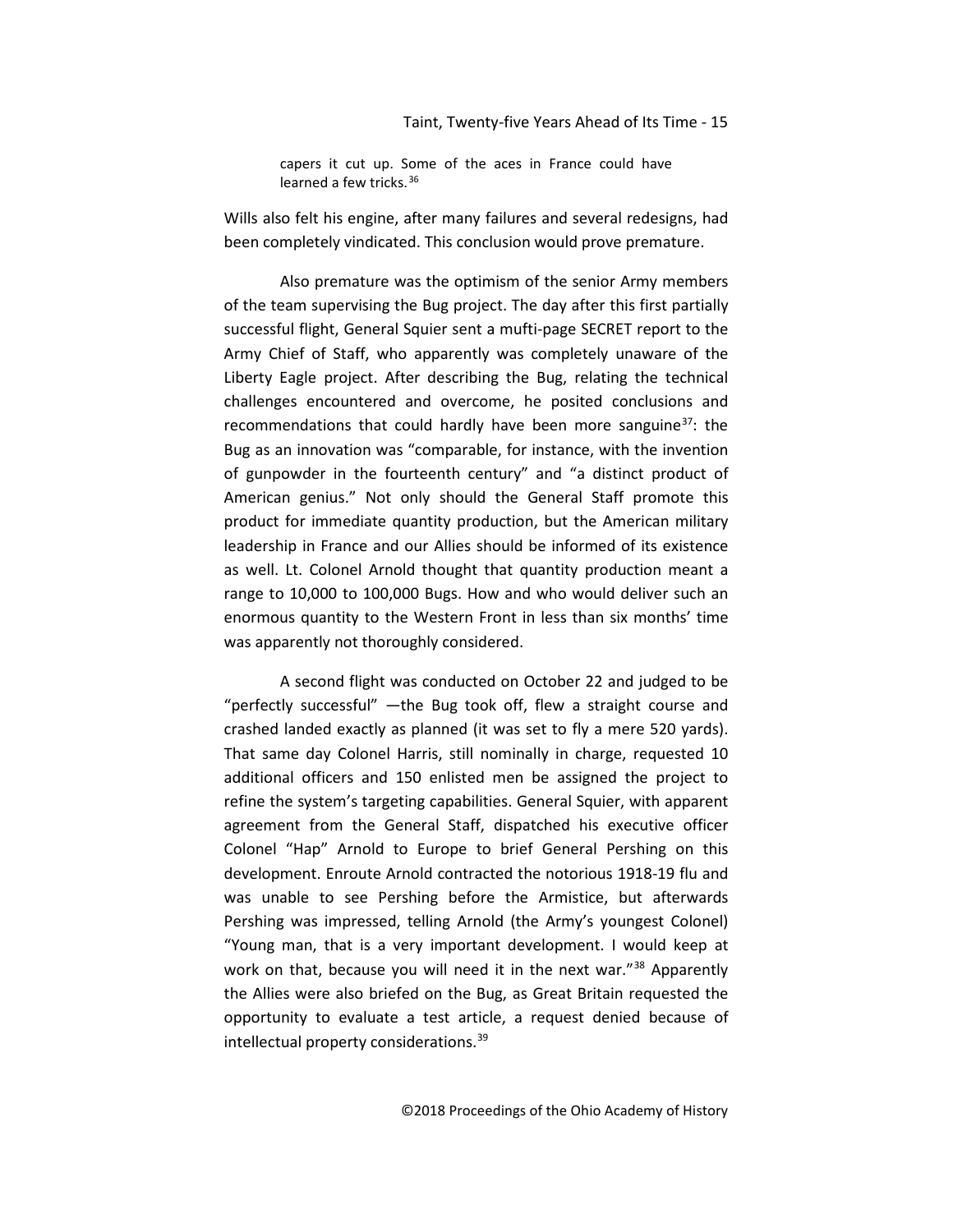capers it cut up. Some of the aces in France could have learned a few tricks. [36](#page-24-21)

Wills also felt his engine, after many failures and several redesigns, had been completely vindicated. This conclusion would prove premature.

Also premature was the optimism of the senior Army members of the team supervising the Bug project. The day after this first partially successful flight, General Squier sent a mufti-page SECRET report to the Army Chief of Staff, who apparently was completely unaware of the Liberty Eagle project. After describing the Bug, relating the technical challenges encountered and overcome, he posited conclusions and recommendations that could hardly have been more sanguine<sup>[37](#page-24-22)</sup>: the Bug as an innovation was "comparable, for instance, with the invention of gunpowder in the fourteenth century" and "a distinct product of American genius." Not only should the General Staff promote this product for immediate quantity production, but the American military leadership in France and our Allies should be informed of its existence as well. Lt. Colonel Arnold thought that quantity production meant a range to 10,000 to 100,000 Bugs. How and who would deliver such an enormous quantity to the Western Front in less than six months' time was apparently not thoroughly considered.

A second flight was conducted on October 22 and judged to be "perfectly successful" —the Bug took off, flew a straight course and crashed landed exactly as planned (it was set to fly a mere 520 yards). That same day Colonel Harris, still nominally in charge, requested 10 additional officers and 150 enlisted men be assigned the project to refine the system's targeting capabilities. General Squier, with apparent agreement from the General Staff, dispatched his executive officer Colonel "Hap" Arnold to Europe to brief General Pershing on this development. Enroute Arnold contracted the notorious 1918-19 flu and was unable to see Pershing before the Armistice, but afterwards Pershing was impressed, telling Arnold (the Army's youngest Colonel) "Young man, that is a very important development. I would keep at work on that, because you will need it in the next war."<sup>[38](#page-24-23)</sup> Apparently the Allies were also briefed on the Bug, as Great Britain requested the opportunity to evaluate a test article, a request denied because of intellectual property considerations.[39](#page-24-24)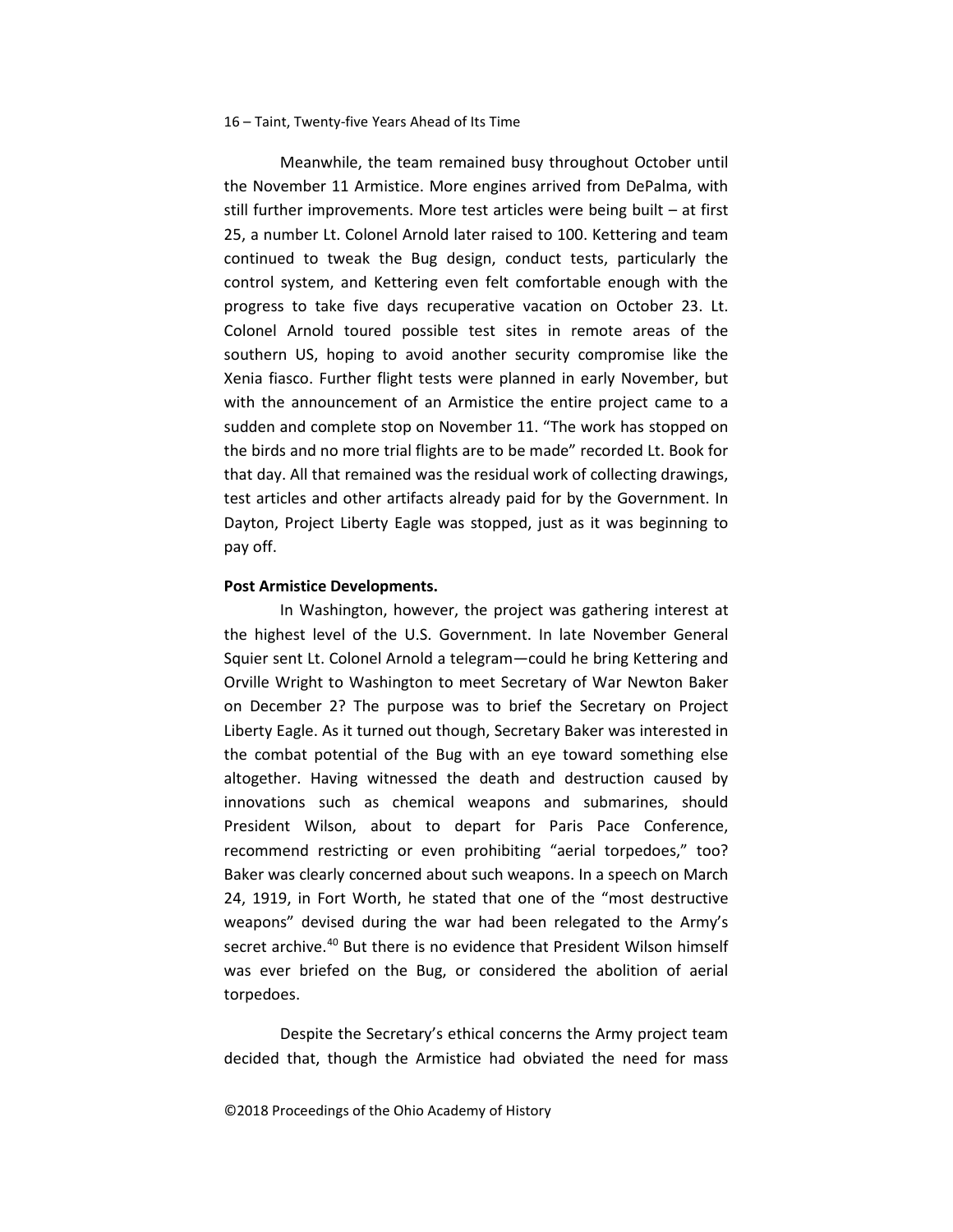Meanwhile, the team remained busy throughout October until the November 11 Armistice. More engines arrived from DePalma, with still further improvements. More test articles were being built – at first 25, a number Lt. Colonel Arnold later raised to 100. Kettering and team continued to tweak the Bug design, conduct tests, particularly the control system, and Kettering even felt comfortable enough with the progress to take five days recuperative vacation on October 23. Lt. Colonel Arnold toured possible test sites in remote areas of the southern US, hoping to avoid another security compromise like the Xenia fiasco. Further flight tests were planned in early November, but with the announcement of an Armistice the entire project came to a sudden and complete stop on November 11. "The work has stopped on the birds and no more trial flights are to be made" recorded Lt. Book for that day. All that remained was the residual work of collecting drawings, test articles and other artifacts already paid for by the Government. In Dayton, Project Liberty Eagle was stopped, just as it was beginning to pay off.

#### **Post Armistice Developments.**

In Washington, however, the project was gathering interest at the highest level of the U.S. Government. In late November General Squier sent Lt. Colonel Arnold a telegram—could he bring Kettering and Orville Wright to Washington to meet Secretary of War Newton Baker on December 2? The purpose was to brief the Secretary on Project Liberty Eagle. As it turned out though, Secretary Baker was interested in the combat potential of the Bug with an eye toward something else altogether. Having witnessed the death and destruction caused by innovations such as chemical weapons and submarines, should President Wilson, about to depart for Paris Pace Conference, recommend restricting or even prohibiting "aerial torpedoes," too? Baker was clearly concerned about such weapons. In a speech on March 24, 1919, in Fort Worth, he stated that one of the "most destructive weapons" devised during the war had been relegated to the Army's secret archive.<sup>[40](#page-24-25)</sup> But there is no evidence that President Wilson himself was ever briefed on the Bug, or considered the abolition of aerial torpedoes.

Despite the Secretary's ethical concerns the Army project team decided that, though the Armistice had obviated the need for mass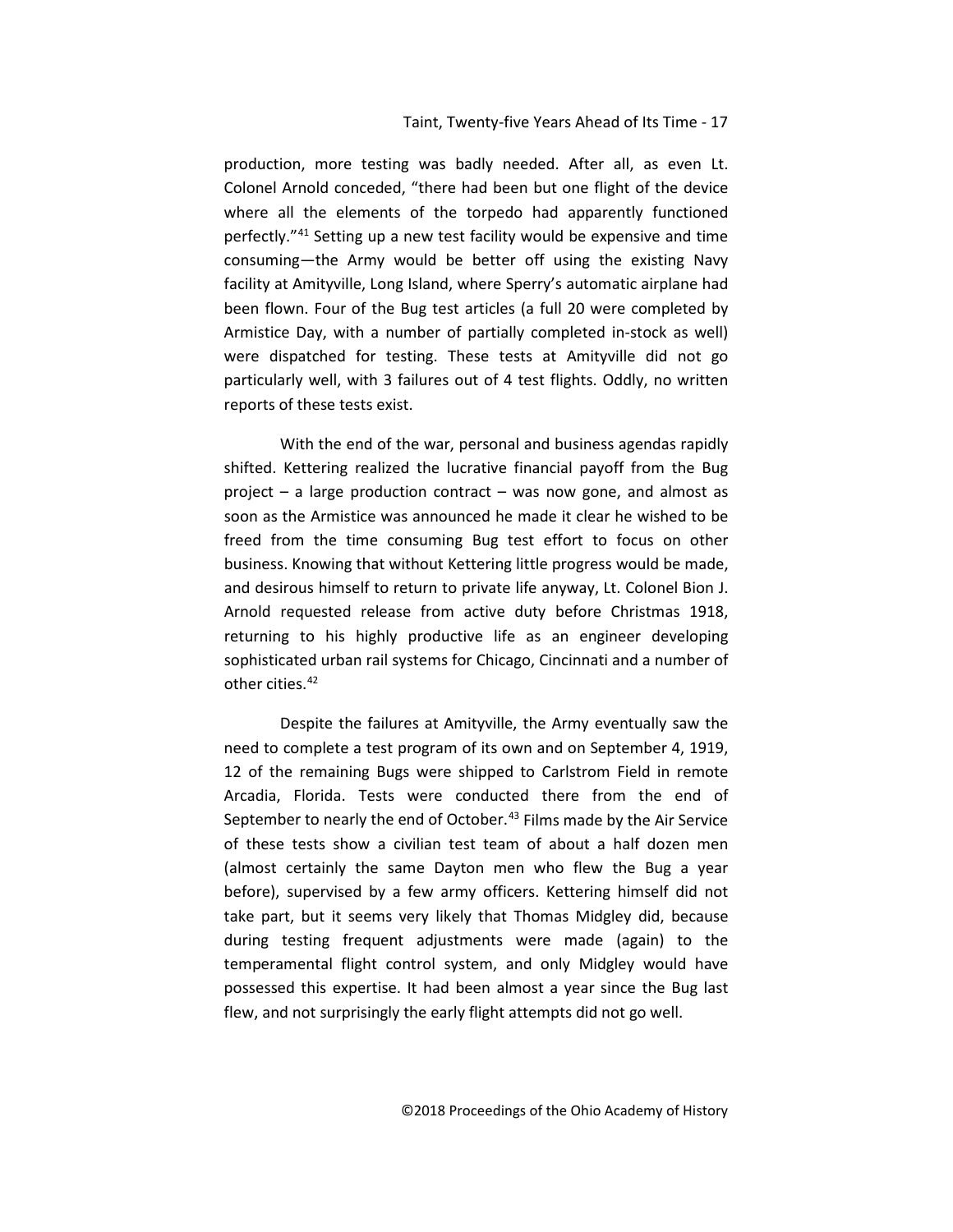production, more testing was badly needed. After all, as even Lt. Colonel Arnold conceded, "there had been but one flight of the device where all the elements of the torpedo had apparently functioned perfectly."[41](#page-24-26) Setting up a new test facility would be expensive and time consuming—the Army would be better off using the existing Navy facility at Amityville, Long Island, where Sperry's automatic airplane had been flown. Four of the Bug test articles (a full 20 were completed by Armistice Day, with a number of partially completed in-stock as well) were dispatched for testing. These tests at Amityville did not go particularly well, with 3 failures out of 4 test flights. Oddly, no written reports of these tests exist.

With the end of the war, personal and business agendas rapidly shifted. Kettering realized the lucrative financial payoff from the Bug project – a large production contract – was now gone, and almost as soon as the Armistice was announced he made it clear he wished to be freed from the time consuming Bug test effort to focus on other business. Knowing that without Kettering little progress would be made, and desirous himself to return to private life anyway, Lt. Colonel Bion J. Arnold requested release from active duty before Christmas 1918, returning to his highly productive life as an engineer developing sophisticated urban rail systems for Chicago, Cincinnati and a number of other cities.<sup>[42](#page-24-27)</sup>

Despite the failures at Amityville, the Army eventually saw the need to complete a test program of its own and on September 4, 1919, 12 of the remaining Bugs were shipped to Carlstrom Field in remote Arcadia, Florida. Tests were conducted there from the end of September to nearly the end of October.<sup>[43](#page-24-28)</sup> Films made by the Air Service of these tests show a civilian test team of about a half dozen men (almost certainly the same Dayton men who flew the Bug a year before), supervised by a few army officers. Kettering himself did not take part, but it seems very likely that Thomas Midgley did, because during testing frequent adjustments were made (again) to the temperamental flight control system, and only Midgley would have possessed this expertise. It had been almost a year since the Bug last flew, and not surprisingly the early flight attempts did not go well.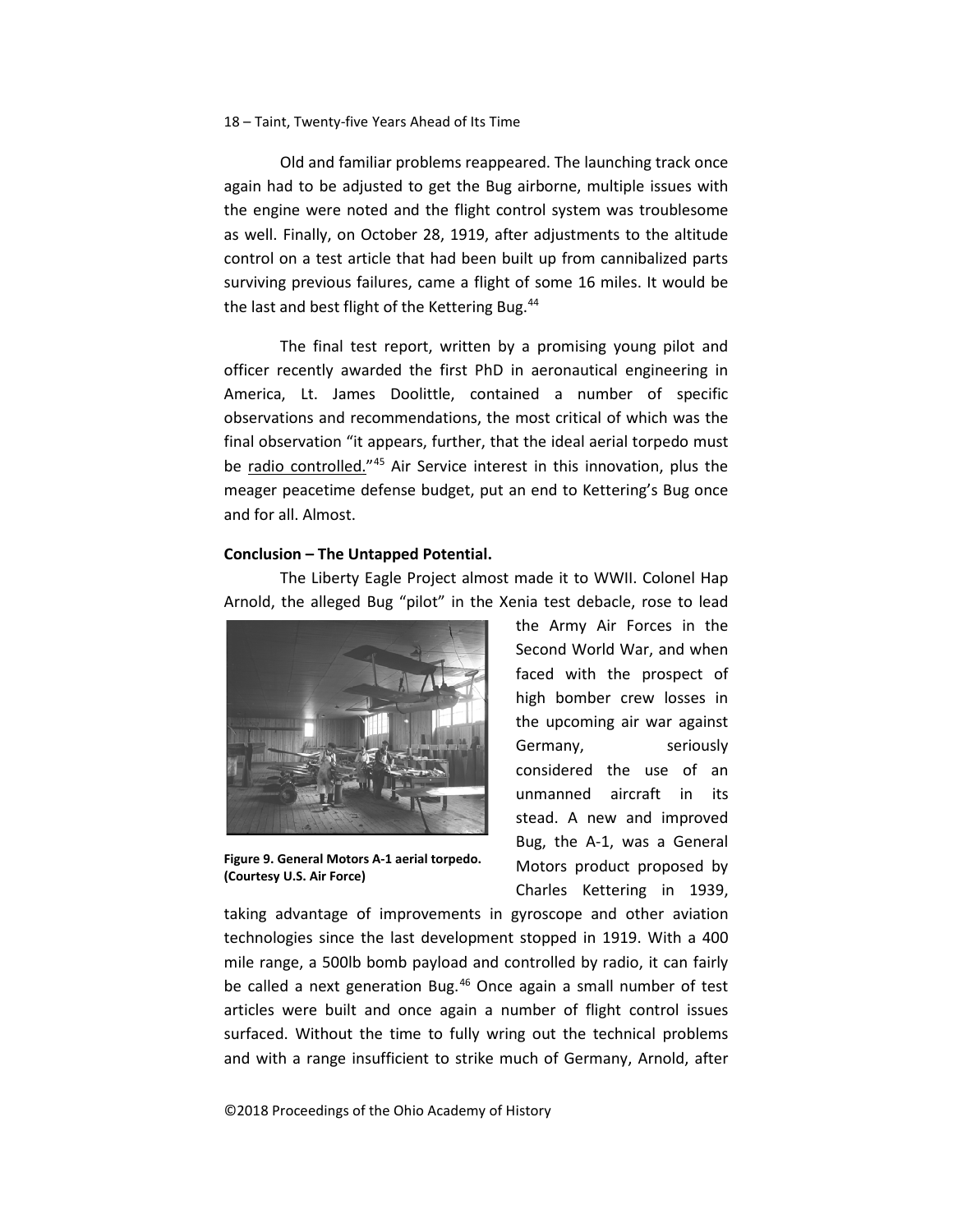Old and familiar problems reappeared. The launching track once again had to be adjusted to get the Bug airborne, multiple issues with the engine were noted and the flight control system was troublesome as well. Finally, on October 28, 1919, after adjustments to the altitude control on a test article that had been built up from cannibalized parts surviving previous failures, came a flight of some 16 miles. It would be the last and best flight of the Kettering Bug.<sup>44</sup>

The final test report, written by a promising young pilot and officer recently awarded the first PhD in aeronautical engineering in America, Lt. James Doolittle, contained a number of specific observations and recommendations, the most critical of which was the final observation "it appears, further, that the ideal aerial torpedo must be radio controlled."[45](#page-24-30) Air Service interest in this innovation, plus the meager peacetime defense budget, put an end to Kettering's Bug once and for all. Almost.

### **Conclusion – The Untapped Potential.**

The Liberty Eagle Project almost made it to WWII. Colonel Hap Arnold, the alleged Bug "pilot" in the Xenia test debacle, rose to lead



**Figure 9. General Motors A-1 aerial torpedo. (Courtesy U.S. Air Force)**

the Army Air Forces in the Second World War, and when faced with the prospect of high bomber crew losses in the upcoming air war against Germany, seriously considered the use of an unmanned aircraft in its stead. A new and improved Bug, the A-1, was a General Motors product proposed by Charles Kettering in 1939,

taking advantage of improvements in gyroscope and other aviation technologies since the last development stopped in 1919. With a 400 mile range, a 500lb bomb payload and controlled by radio, it can fairly be called a next generation Bug.<sup>[46](#page-24-31)</sup> Once again a small number of test articles were built and once again a number of flight control issues surfaced. Without the time to fully wring out the technical problems and with a range insufficient to strike much of Germany, Arnold, after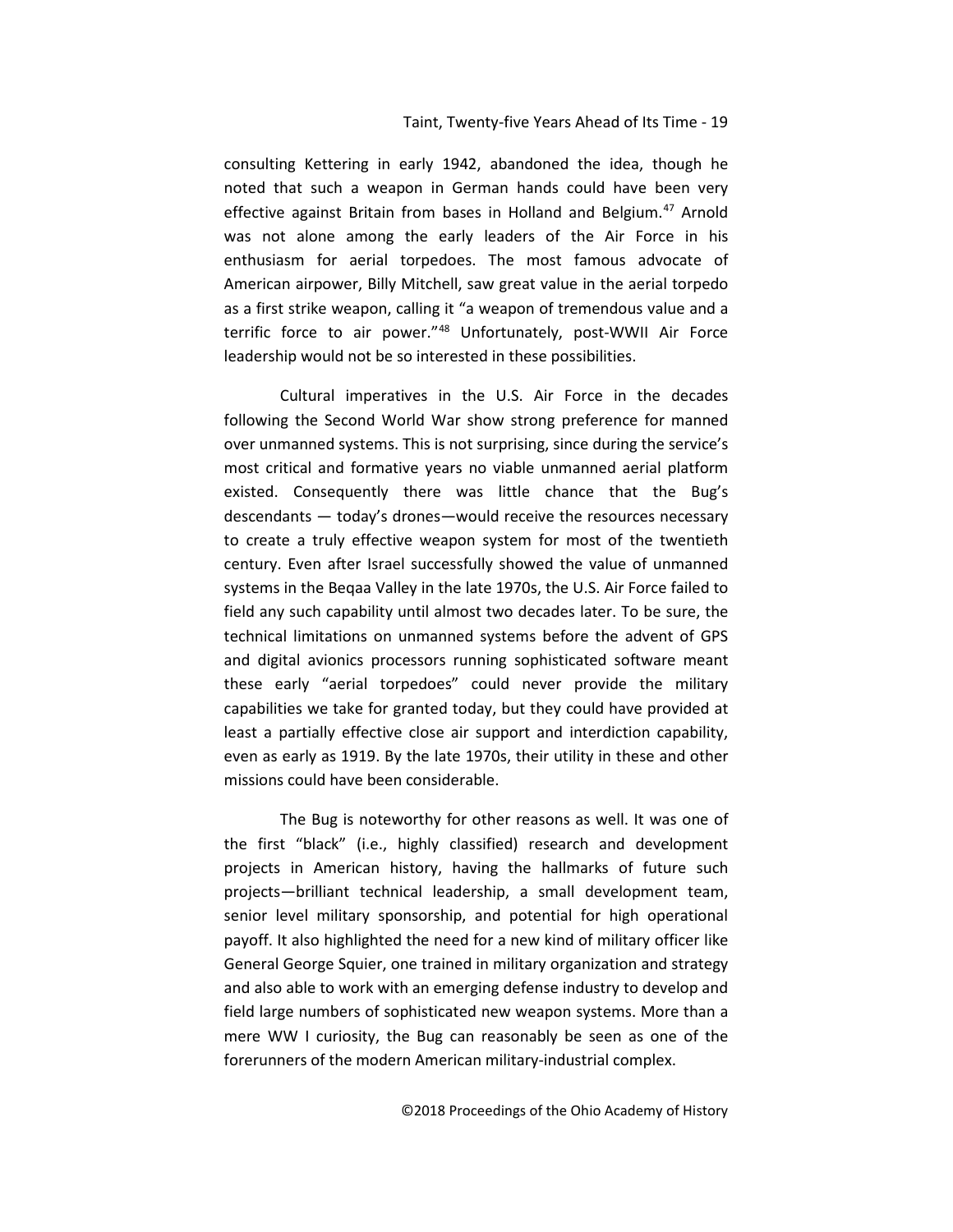consulting Kettering in early 1942, abandoned the idea, though he noted that such a weapon in German hands could have been very effective against Britain from bases in Holland and Belgium.<sup>[47](#page-24-32)</sup> Arnold was not alone among the early leaders of the Air Force in his enthusiasm for aerial torpedoes. The most famous advocate of American airpower, Billy Mitchell, saw great value in the aerial torpedo as a first strike weapon, calling it "a weapon of tremendous value and a terrific force to air power."[48](#page-24-33) Unfortunately, post-WWII Air Force leadership would not be so interested in these possibilities.

Cultural imperatives in the U.S. Air Force in the decades following the Second World War show strong preference for manned over unmanned systems. This is not surprising, since during the service's most critical and formative years no viable unmanned aerial platform existed. Consequently there was little chance that the Bug's descendants — today's drones—would receive the resources necessary to create a truly effective weapon system for most of the twentieth century. Even after Israel successfully showed the value of unmanned systems in the Beqaa Valley in the late 1970s, the U.S. Air Force failed to field any such capability until almost two decades later. To be sure, the technical limitations on unmanned systems before the advent of GPS and digital avionics processors running sophisticated software meant these early "aerial torpedoes" could never provide the military capabilities we take for granted today, but they could have provided at least a partially effective close air support and interdiction capability, even as early as 1919. By the late 1970s, their utility in these and other missions could have been considerable.

The Bug is noteworthy for other reasons as well. It was one of the first "black" (i.e., highly classified) research and development projects in American history, having the hallmarks of future such projects—brilliant technical leadership, a small development team, senior level military sponsorship, and potential for high operational payoff. It also highlighted the need for a new kind of military officer like General George Squier, one trained in military organization and strategy and also able to work with an emerging defense industry to develop and field large numbers of sophisticated new weapon systems. More than a mere WW I curiosity, the Bug can reasonably be seen as one of the forerunners of the modern American military-industrial complex.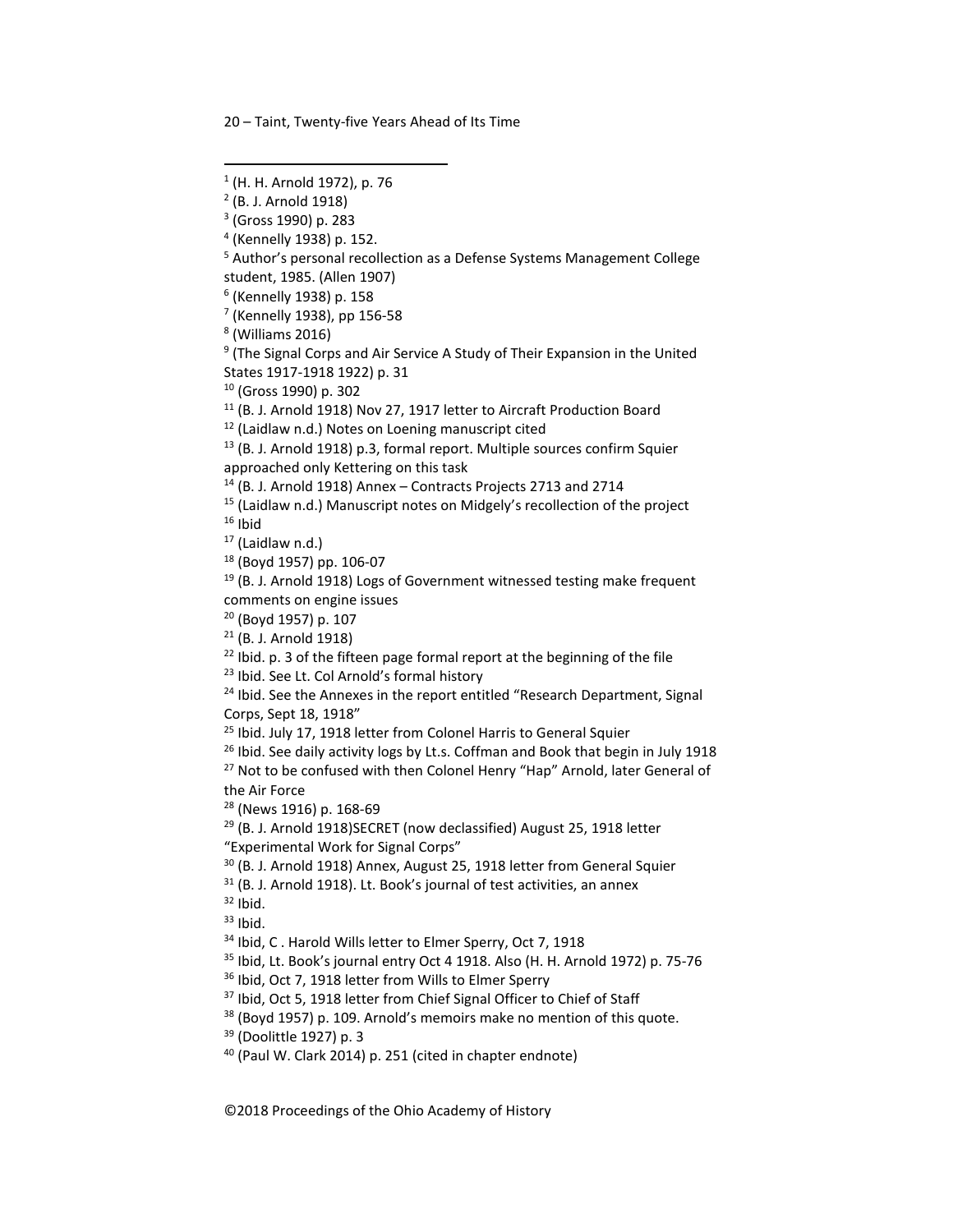<sup>6</sup> (Kennelly 1938) p. 158

<sup>7</sup> (Kennelly 1938), pp 156-58

<sup>8</sup> (Williams 2016)

<sup>9</sup> (The Signal Corps and Air Service A Study of Their Expansion in the United States 1917-1918 1922) p. 31

<sup>10</sup> (Gross 1990) p. 302

<sup>11</sup> (B. J. Arnold 1918) Nov 27, 1917 letter to Aircraft Production Board

<sup>12</sup> (Laidlaw n.d.) Notes on Loening manuscript cited

<sup>13</sup> (B. J. Arnold 1918) p.3, formal report. Multiple sources confirm Squier approached only Kettering on this task

 $14$  (B. J. Arnold 1918) Annex – Contracts Projects 2713 and 2714

<sup>15</sup> (Laidlaw n.d.) Manuscript notes on Midgely's recollection of the project  $16$  Ibid

 $17$  (Laidlaw n.d.)

<sup>18</sup> (Boyd 1957) pp. 106-07

<sup>19</sup> (B. J. Arnold 1918) Logs of Government witnessed testing make frequent comments on engine issues

<sup>20</sup> (Boyd 1957) p. 107

<sup>21</sup> (B. J. Arnold 1918)

<sup>22</sup> Ibid. p. 3 of the fifteen page formal report at the beginning of the file  $^{23}$  Ibid. See Lt. Col Arnold's formal history

<sup>24</sup> Ibid. See the Annexes in the report entitled "Research Department, Signal Corps, Sept 18, 1918"

<sup>25</sup> Ibid. July 17, 1918 letter from Colonel Harris to General Squier

 $26$  Ibid. See daily activity logs by Lt.s. Coffman and Book that begin in July 1918 <sup>27</sup> Not to be confused with then Colonel Henry "Hap" Arnold, later General of

the Air Force

<sup>28</sup> (News 1916) p. 168-69

<sup>29</sup> (B. J. Arnold 1918)SECRET (now declassified) August 25, 1918 letter "Experimental Work for Signal Corps"

 $30$  (B. J. Arnold 1918) Annex, August 25, 1918 letter from General Squier  $31$  (B. J. Arnold 1918). Lt. Book's journal of test activities, an annex  $32$  lbid.

 $33$  Ibid.

<sup>34</sup> Ibid, C. Harold Wills letter to Elmer Sperry, Oct 7, 1918

<sup>35</sup> Ibid, Lt. Book's journal entry Oct 4 1918. Also (H. H. Arnold 1972) p. 75-76

<sup>36</sup> Ibid, Oct 7, 1918 letter from Wills to Elmer Sperry

<sup>37</sup> Ibid, Oct 5, 1918 letter from Chief Signal Officer to Chief of Staff

 $38$  (Boyd 1957) p. 109. Arnold's memoirs make no mention of this quote.<br> $39$  (Doolittle 1927) p. 3

<sup>40</sup> (Paul W. Clark 2014) p. 251 (cited in chapter endnote)

<span id="page-19-0"></span> <sup>1</sup> (H. H. Arnold 1972), p. 76

<sup>2</sup> (B. J. Arnold 1918)

<sup>3</sup> (Gross 1990) p. 283

<sup>4</sup> (Kennelly 1938) p. 152.

<sup>&</sup>lt;sup>5</sup> Author's personal recollection as a Defense Systems Management College student, 1985. (Allen 1907)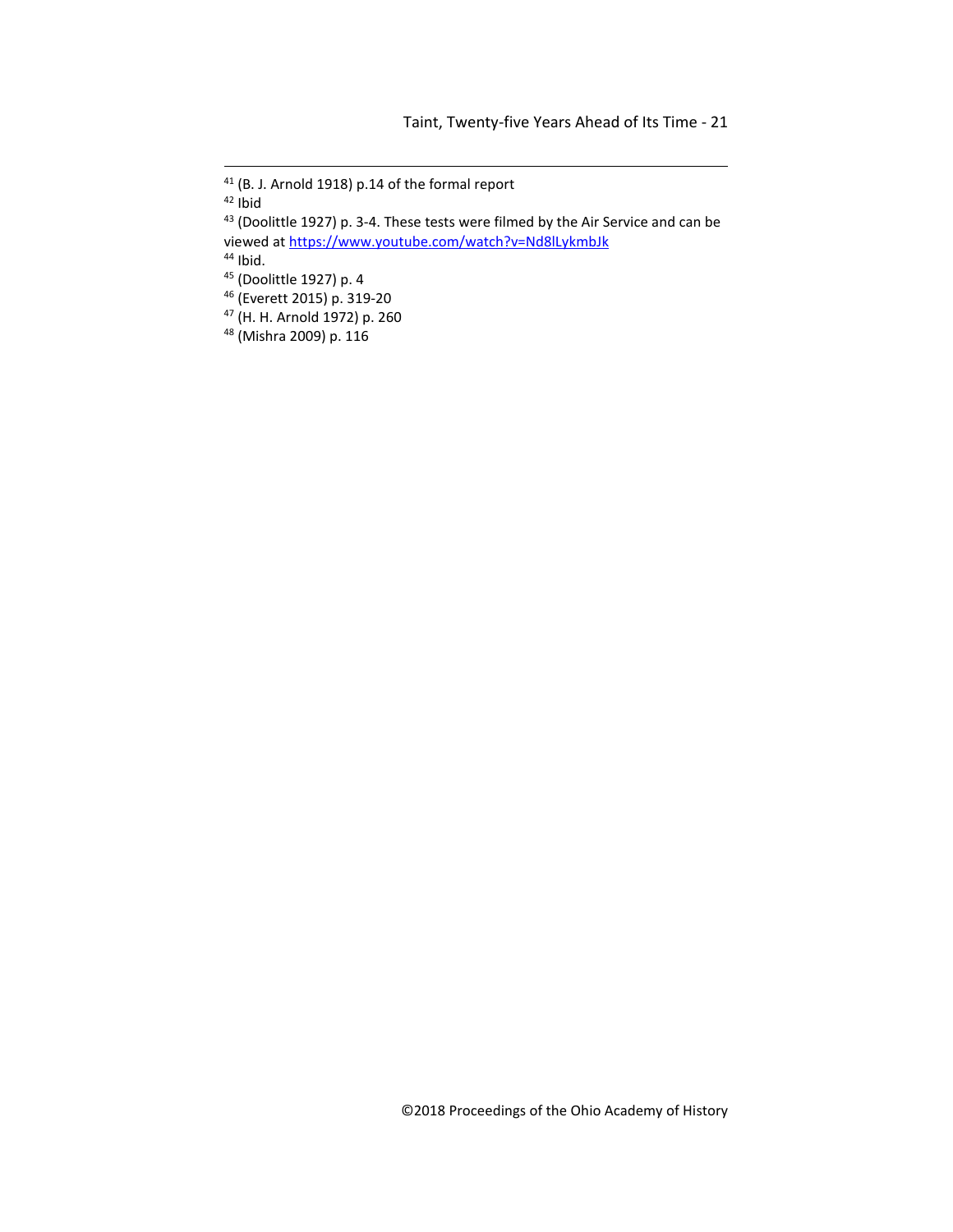(B. J. Arnold 1918) p.14 of the formal report

<span id="page-20-3"></span><span id="page-20-2"></span>Ibid.

- <span id="page-20-4"></span>(Everett 2015) p. 319-20
- (H. H. Arnold 1972) p. 260
- (Mishra 2009) p. 116

<span id="page-20-0"></span>Ibid

<span id="page-20-1"></span><sup>43 (</sup>Doolittle 1927) p. 3-4. These tests were filmed by the Air Service and can be viewed at<https://www.youtube.com/watch?v=Nd8lLykmbJk>

(Doolittle 1927) p. 4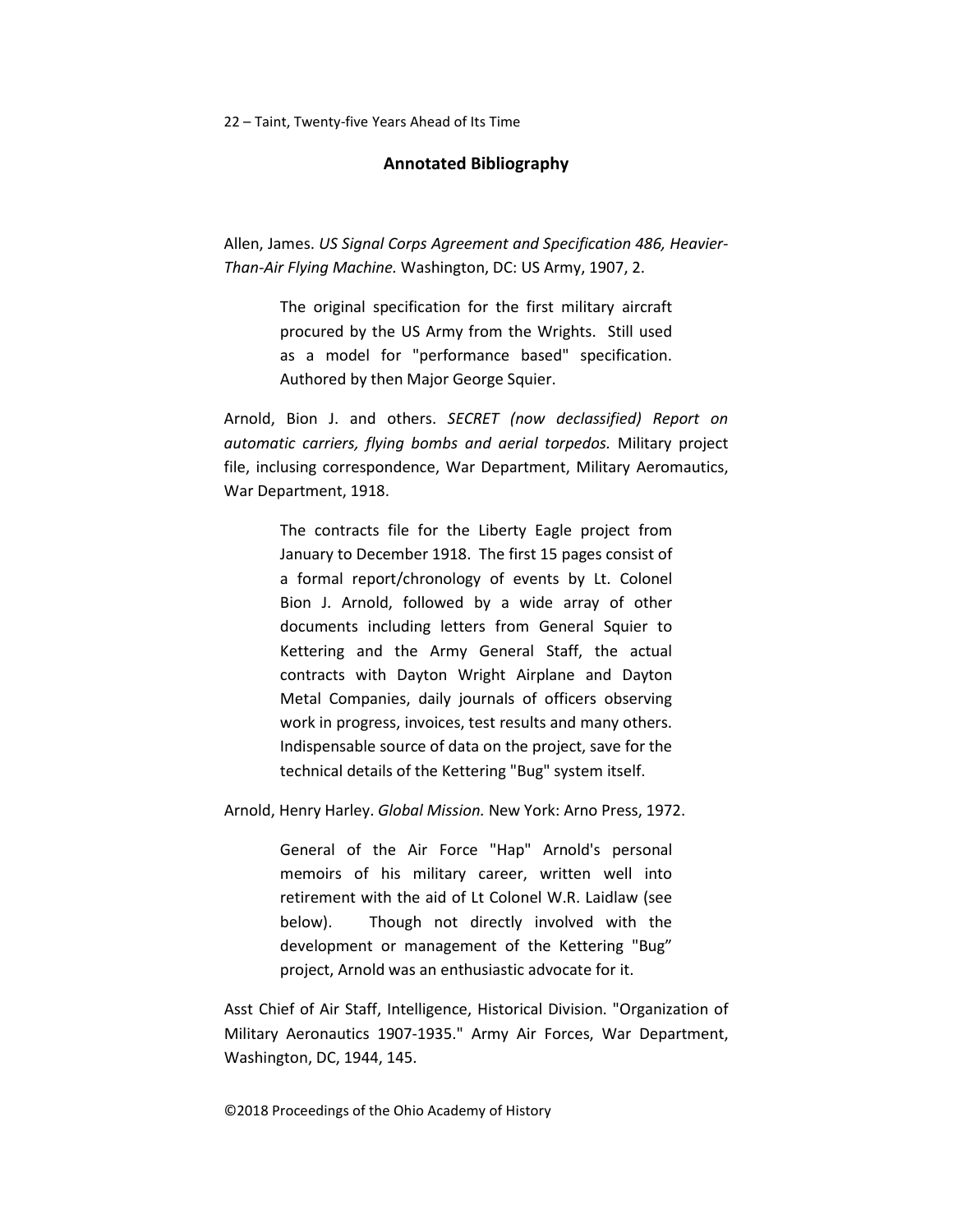### **Annotated Bibliography**

<span id="page-21-0"></span>Allen, James. *US Signal Corps Agreement and Specification 486, Heavier-Than-Air Flying Machine.* Washington, DC: US Army, 1907, 2.

> The original specification for the first military aircraft procured by the US Army from the Wrights. Still used as a model for "performance based" specification. Authored by then Major George Squier.

<span id="page-21-3"></span><span id="page-21-2"></span><span id="page-21-1"></span>Arnold, Bion J. and others. *SECRET (now declassified) Report on automatic carriers, flying bombs and aerial torpedos.* Military project file, inclusing correspondence, War Department, Military Aeromautics, War Department, 1918.

> The contracts file for the Liberty Eagle project from January to December 1918. The first 15 pages consist of a formal report/chronology of events by Lt. Colonel Bion J. Arnold, followed by a wide array of other documents including letters from General Squier to Kettering and the Army General Staff, the actual contracts with Dayton Wright Airplane and Dayton Metal Companies, daily journals of officers observing work in progress, invoices, test results and many others. Indispensable source of data on the project, save for the technical details of the Kettering "Bug" system itself.

Arnold, Henry Harley. *Global Mission.* New York: Arno Press, 1972.

General of the Air Force "Hap" Arnold's personal memoirs of his military career, written well into retirement with the aid of Lt Colonel W.R. Laidlaw (see below). Though not directly involved with the development or management of the Kettering "Bug" project, Arnold was an enthusiastic advocate for it.

Asst Chief of Air Staff, Intelligence, Historical Division. "Organization of Military Aeronautics 1907-1935." Army Air Forces, War Department, Washington, DC, 1944, 145.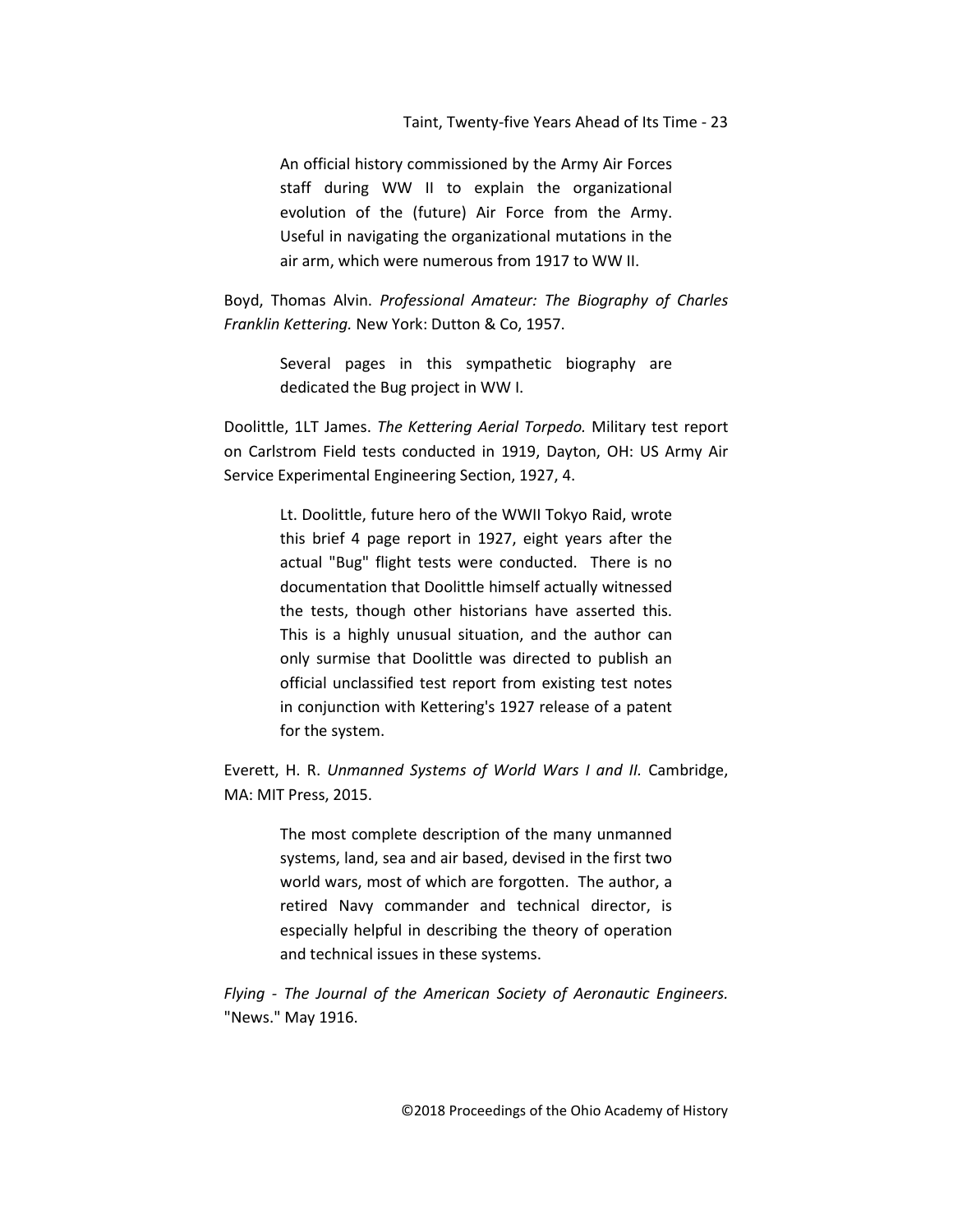An official history commissioned by the Army Air Forces staff during WW II to explain the organizational evolution of the (future) Air Force from the Army. Useful in navigating the organizational mutations in the air arm, which were numerous from 1917 to WW II.

Boyd, Thomas Alvin. *Professional Amateur: The Biography of Charles Franklin Kettering.* New York: Dutton & Co, 1957.

> Several pages in this sympathetic biography are dedicated the Bug project in WW I.

<span id="page-22-1"></span><span id="page-22-0"></span>Doolittle, 1LT James. *The Kettering Aerial Torpedo.* Military test report on Carlstrom Field tests conducted in 1919, Dayton, OH: US Army Air Service Experimental Engineering Section, 1927, 4.

> Lt. Doolittle, future hero of the WWII Tokyo Raid, wrote this brief 4 page report in 1927, eight years after the actual "Bug" flight tests were conducted. There is no documentation that Doolittle himself actually witnessed the tests, though other historians have asserted this. This is a highly unusual situation, and the author can only surmise that Doolittle was directed to publish an official unclassified test report from existing test notes in conjunction with Kettering's 1927 release of a patent for the system.

Everett, H. R. *Unmanned Systems of World Wars I and II.* Cambridge, MA: MIT Press, 2015.

> The most complete description of the many unmanned systems, land, sea and air based, devised in the first two world wars, most of which are forgotten. The author, a retired Navy commander and technical director, is especially helpful in describing the theory of operation and technical issues in these systems.

*Flying - The Journal of the American Society of Aeronautic Engineers.* "News." May 1916.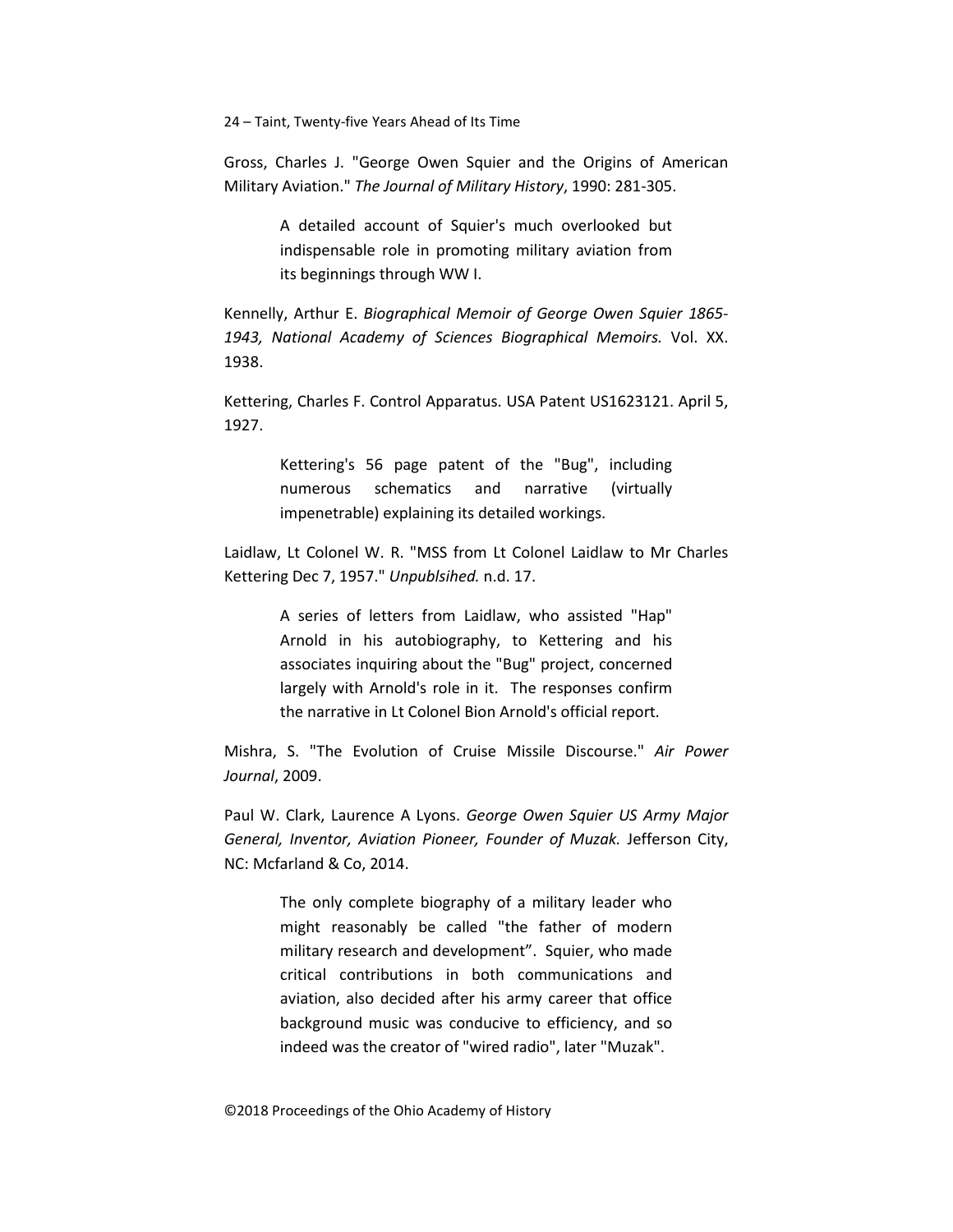Gross, Charles J. "George Owen Squier and the Origins of American Military Aviation." *The Journal of Military History*, 1990: 281-305.

> A detailed account of Squier's much overlooked but indispensable role in promoting military aviation from its beginnings through WW I.

Kennelly, Arthur E. *Biographical Memoir of George Owen Squier 1865- 1943, National Academy of Sciences Biographical Memoirs.* Vol. XX. 1938.

<span id="page-23-0"></span>Kettering, Charles F. Control Apparatus. USA Patent US1623121. April 5, 1927.

> Kettering's 56 page patent of the "Bug", including numerous schematics and narrative (virtually impenetrable) explaining its detailed workings.

<span id="page-23-1"></span>Laidlaw, Lt Colonel W. R. "MSS from Lt Colonel Laidlaw to Mr Charles Kettering Dec 7, 1957." *Unpublsihed.* n.d. 17.

> A series of letters from Laidlaw, who assisted "Hap" Arnold in his autobiography, to Kettering and his associates inquiring about the "Bug" project, concerned largely with Arnold's role in it. The responses confirm the narrative in Lt Colonel Bion Arnold's official report.

Mishra, S. "The Evolution of Cruise Missile Discourse." *Air Power Journal*, 2009.

Paul W. Clark, Laurence A Lyons. *George Owen Squier US Army Major General, Inventor, Aviation Pioneer, Founder of Muzak.* Jefferson City, NC: Mcfarland & Co, 2014.

> The only complete biography of a military leader who might reasonably be called "the father of modern military research and development". Squier, who made critical contributions in both communications and aviation, also decided after his army career that office background music was conducive to efficiency, and so indeed was the creator of "wired radio", later "Muzak".